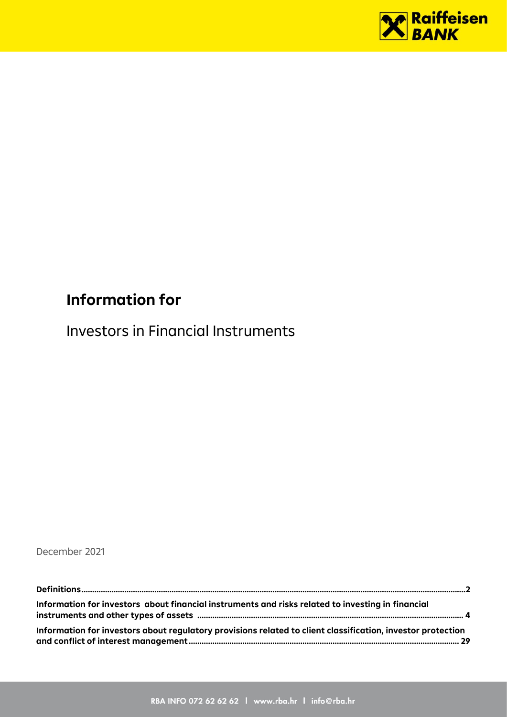

# **Information for**

Investors in Financial Instruments

December 2021

| Information for investors about financial instruments and risks related to investing in financial           |  |
|-------------------------------------------------------------------------------------------------------------|--|
| Information for investors about regulatory provisions related to client classification, investor protection |  |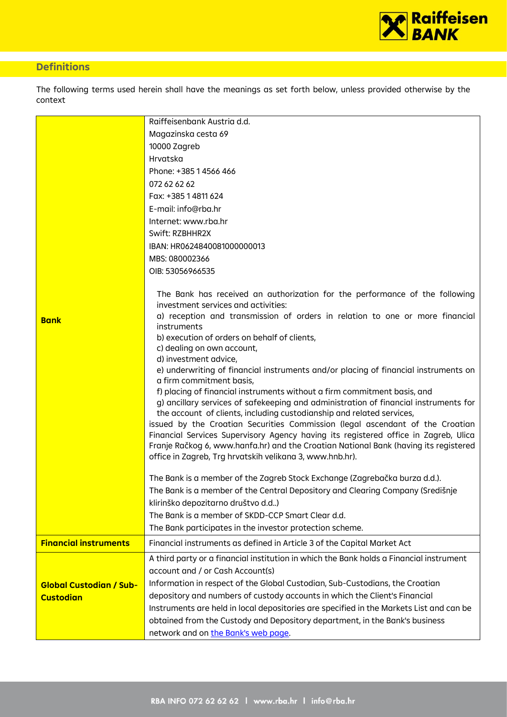

# **Definitions**

The following terms used herein shall have the meanings as set forth below, unless provided otherwise by the context

|                                | Raiffeisenbank Austria d.d.                                                                                                                                      |
|--------------------------------|------------------------------------------------------------------------------------------------------------------------------------------------------------------|
|                                | Magazinska cesta 69                                                                                                                                              |
|                                | 10000 Zagreb                                                                                                                                                     |
|                                | Hrvatska                                                                                                                                                         |
|                                | Phone: +385 1 4566 466                                                                                                                                           |
|                                | 072 62 62 62                                                                                                                                                     |
|                                | Fax: +385 1 4811 624                                                                                                                                             |
|                                | E-mail: info@rba.hr                                                                                                                                              |
|                                | Internet: www.rba.hr                                                                                                                                             |
|                                | Swift: RZBHHR2X                                                                                                                                                  |
|                                | IBAN: HR0624840081000000013                                                                                                                                      |
|                                | MBS: 080002366                                                                                                                                                   |
|                                | OIB: 53056966535                                                                                                                                                 |
|                                |                                                                                                                                                                  |
|                                | The Bank has received an authorization for the performance of the following                                                                                      |
|                                | investment services and activities:<br>a) reception and transmission of orders in relation to one or more financial                                              |
| <b>Bank</b>                    | instruments                                                                                                                                                      |
|                                | b) execution of orders on behalf of clients,                                                                                                                     |
|                                | c) dealing on own account,                                                                                                                                       |
|                                | d) investment advice,                                                                                                                                            |
|                                | e) underwriting of financial instruments and/or placing of financial instruments on                                                                              |
|                                | a firm commitment basis,                                                                                                                                         |
|                                | f) placing of financial instruments without a firm commitment basis, and<br>g) ancillary services of safekeeping and administration of financial instruments for |
|                                | the account of clients, including custodianship and related services,                                                                                            |
|                                | issued by the Croatian Securities Commission (legal ascendant of the Croatian                                                                                    |
|                                | Financial Services Supervisory Agency having its registered office in Zagreb, Ulica                                                                              |
|                                | Franje Račkog 6, www.hanfa.hr) and the Croatian National Bank (having its registered                                                                             |
|                                | office in Zagreb, Trg hrvatskih velikana 3, www.hnb.hr).                                                                                                         |
|                                | The Bank is a member of the Zagreb Stock Exchange (Zagrebačka burza d.d.).                                                                                       |
|                                | The Bank is a member of the Central Depository and Clearing Company (Središnje                                                                                   |
|                                | klirinško depozitarno društvo d.d)                                                                                                                               |
|                                | The Bank is a member of SKDD-CCP Smart Clear d.d.                                                                                                                |
|                                | The Bank participates in the investor protection scheme.                                                                                                         |
| <b>Financial instruments</b>   | Financial instruments as defined in Article 3 of the Capital Market Act                                                                                          |
|                                | A third party or a financial institution in which the Bank holds a Financial instrument                                                                          |
|                                | account and / or Cash Account(s)                                                                                                                                 |
| <b>Global Custodian / Sub-</b> | Information in respect of the Global Custodian, Sub-Custodians, the Croatian                                                                                     |
| <b>Custodian</b>               | depository and numbers of custody accounts in which the Client's Financial                                                                                       |
|                                | Instruments are held in local depositories are specified in the Markets List and can be                                                                          |
|                                | obtained from the Custody and Depository department, in the Bank's business                                                                                      |
|                                |                                                                                                                                                                  |
|                                | network and on the Bank's web page.                                                                                                                              |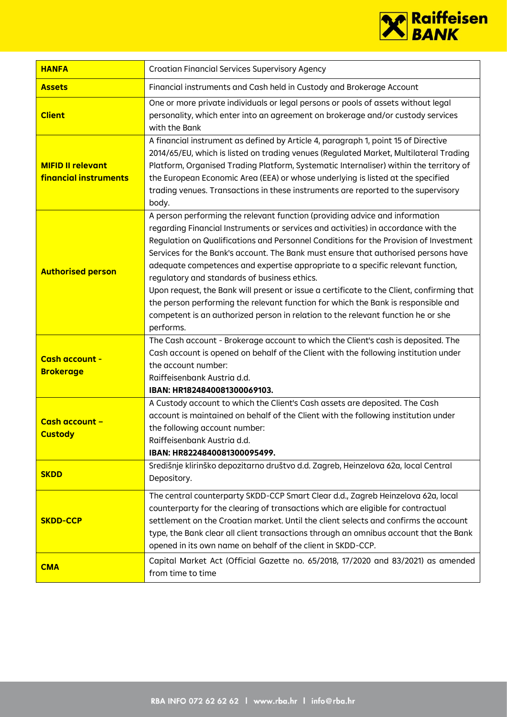

| <b>HANFA</b>                                      | <b>Croatian Financial Services Supervisory Agency</b>                                                                                                                                                                                                                                                                                                                                                                                                                                                                                                                                                                                                                                                                                                                  |  |
|---------------------------------------------------|------------------------------------------------------------------------------------------------------------------------------------------------------------------------------------------------------------------------------------------------------------------------------------------------------------------------------------------------------------------------------------------------------------------------------------------------------------------------------------------------------------------------------------------------------------------------------------------------------------------------------------------------------------------------------------------------------------------------------------------------------------------------|--|
| <b>Assets</b>                                     | Financial instruments and Cash held in Custody and Brokerage Account                                                                                                                                                                                                                                                                                                                                                                                                                                                                                                                                                                                                                                                                                                   |  |
| <b>Client</b>                                     | One or more private individuals or legal persons or pools of assets without legal<br>personality, which enter into an agreement on brokerage and/or custody services<br>with the Bank                                                                                                                                                                                                                                                                                                                                                                                                                                                                                                                                                                                  |  |
| <b>MIFID II relevant</b><br>financial instruments | A financial instrument as defined by Article 4, paragraph 1, point 15 of Directive<br>2014/65/EU, which is listed on trading venues (Regulated Market, Multilateral Trading<br>Platform, Organised Trading Platform, Systematic Internaliser) within the territory of<br>the European Economic Area (EEA) or whose underlying is listed at the specified<br>trading venues. Transactions in these instruments are reported to the supervisory<br>body.                                                                                                                                                                                                                                                                                                                 |  |
| <b>Authorised person</b>                          | A person performing the relevant function (providing advice and information<br>regarding Financial Instruments or services and activities) in accordance with the<br>Regulation on Qualifications and Personnel Conditions for the Provision of Investment<br>Services for the Bank's account. The Bank must ensure that authorised persons have<br>adequate competences and expertise appropriate to a specific relevant function,<br>regulatory and standards of business ethics.<br>Upon request, the Bank will present or issue a certificate to the Client, confirming that<br>the person performing the relevant function for which the Bank is responsible and<br>competent is an authorized person in relation to the relevant function he or she<br>performs. |  |
| <b>Cash account -</b><br><b>Brokerage</b>         | The Cash account - Brokerage account to which the Client's cash is deposited. The<br>Cash account is opened on behalf of the Client with the following institution under<br>the account number:<br>Raiffeisenbank Austria d.d.<br>IBAN: HR1824840081300069103.                                                                                                                                                                                                                                                                                                                                                                                                                                                                                                         |  |
| Cash account -<br><b>Custody</b>                  | A Custody account to which the Client's Cash assets are deposited. The Cash<br>account is maintained on behalf of the Client with the following institution under<br>the following account number:<br>Raiffeisenbank Austria d.d.<br>IBAN: HR8224840081300095499.                                                                                                                                                                                                                                                                                                                                                                                                                                                                                                      |  |
| <b>SKDD</b>                                       | Središnje klirinško depozitarno društvo d.d. Zagreb, Heinzelova 62a, local Central<br>Depository.                                                                                                                                                                                                                                                                                                                                                                                                                                                                                                                                                                                                                                                                      |  |
| <b>SKDD-CCP</b>                                   | The central counterparty SKDD-CCP Smart Clear d.d., Zagreb Heinzelova 62a, local<br>counterparty for the clearing of transactions which are eligible for contractual<br>settlement on the Croatian market. Until the client selects and confirms the account<br>type, the Bank clear all client transactions through an omnibus account that the Bank<br>opened in its own name on behalf of the client in SKDD-CCP.                                                                                                                                                                                                                                                                                                                                                   |  |
| <b>CMA</b>                                        | Capital Market Act (Official Gazette no. 65/2018, 17/2020 and 83/2021) as amended<br>from time to time                                                                                                                                                                                                                                                                                                                                                                                                                                                                                                                                                                                                                                                                 |  |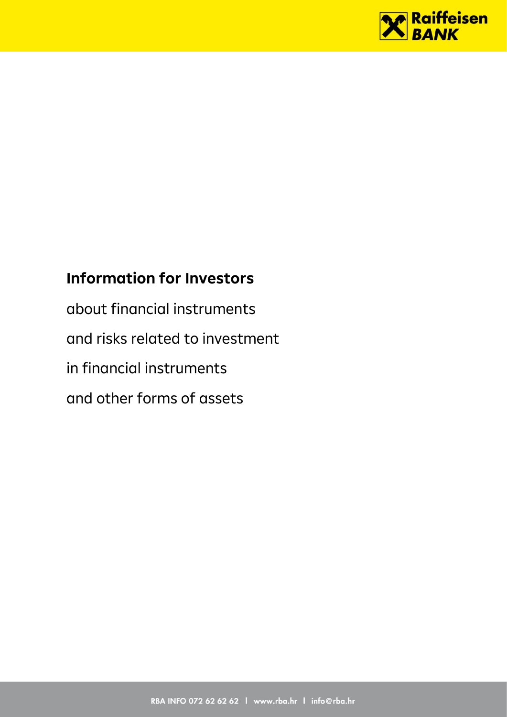

# **Information for Investors**

about financial instruments and risks related to investment in financial instruments and other forms of assets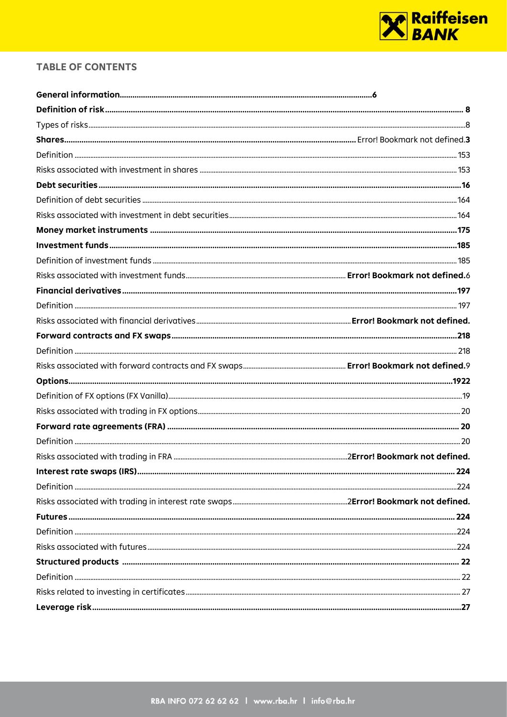

# **TABLE OF CONTENTS**

| 224 |
|-----|
|     |
|     |
|     |
|     |
|     |
|     |
|     |
|     |
|     |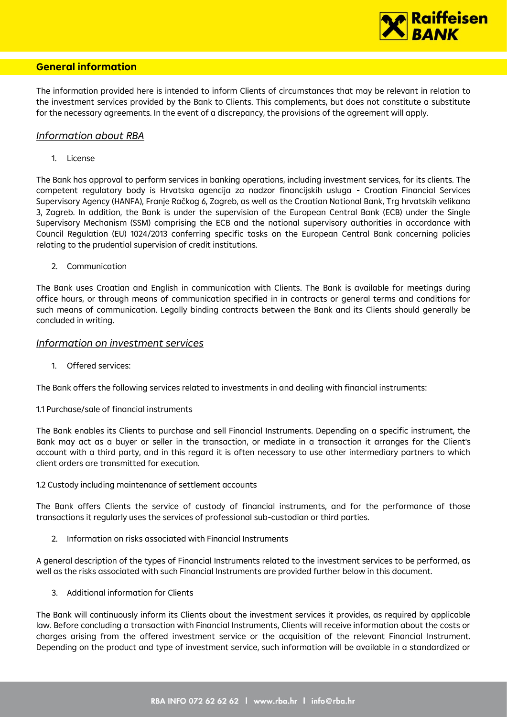

# **General information**

The information provided here is intended to inform Clients of circumstances that may be relevant in relation to the investment services provided by the Bank to Clients. This complements, but does not constitute a substitute for the necessary agreements. In the event of a discrepancy, the provisions of the agreement will apply.

## *Information about RBA*

1. License

The Bank has approval to perform services in banking operations, including investment services, for its clients. The competent regulatory body is Hrvatska agencija za nadzor financijskih usluga - Croatian Financial Services Supervisory Agency (HANFA), Franje Račkog 6, Zagreb, as well as the Croatian National Bank, Trg hrvatskih velikana 3, Zagreb. In addition, the Bank is under the supervision of the European Central Bank (ECB) under the Single Supervisory Mechanism (SSM) comprising the ECB and the national supervisory authorities in accordance with Council Regulation (EU) 1024/2013 conferring specific tasks on the European Central Bank concerning policies relating to the prudential supervision of credit institutions.

2. Communication

The Bank uses Croatian and English in communication with Clients. The Bank is available for meetings during office hours, or through means of communication specified in in contracts or general terms and conditions for such means of communication. Legally binding contracts between the Bank and its Clients should generally be concluded in writing.

#### *Information on investment services*

1. Offered services:

The Bank offers the following services related to investments in and dealing with financial instruments:

## 1.1 Purchase/sale of financial instruments

The Bank enables its Clients to purchase and sell Financial Instruments. Depending on a specific instrument, the Bank may act as a buyer or seller in the transaction, or mediate in a transaction it arranges for the Client's account with a third party, and in this regard it is often necessary to use other intermediary partners to which client orders are transmitted for execution.

#### 1.2 Custody including maintenance of settlement accounts

The Bank offers Clients the service of custody of financial instruments, and for the performance of those transactions it regularly uses the services of professional sub-custodian or third parties.

2. Information on risks associated with Financial Instruments

A general description of the types of Financial Instruments related to the investment services to be performed, as well as the risks associated with such Financial Instruments are provided further below in this document.

3. Additional information for Clients

The Bank will continuously inform its Clients about the investment services it provides, as required by applicable law. Before concluding a transaction with Financial Instruments, Clients will receive information about the costs or charges arising from the offered investment service or the acquisition of the relevant Financial Instrument. Depending on the product and type of investment service, such information will be available in a standardized or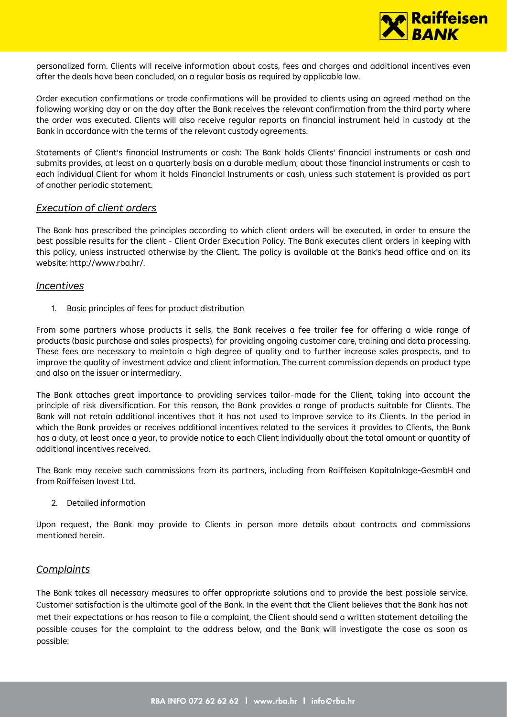

personalized form. Clients will receive information about costs, fees and charges and additional incentives even after the deals have been concluded, on a regular basis as required by applicable law.

Order execution confirmations or trade confirmations will be provided to clients using an agreed method on the following working day or on the day after the Bank receives the relevant confirmation from the third party where the order was executed. Clients will also receive regular reports on financial instrument held in custody at the Bank in accordance with the terms of the relevant custody agreements.

Statements of Client's financial Instruments or cash: The Bank holds Clients' financial instruments or cash and submits provides, at least on a quarterly basis on a durable medium, about those financial instruments or cash to each individual Client for whom it holds Financial Instruments or cash, unless such statement is provided as part of another periodic statement.

## *Execution of client orders*

The Bank has prescribed the principles according to which client orders will be executed, in order to ensure the best possible results for the client - Client Order Execution Policy. The Bank executes client orders in keeping with this policy, unless instructed otherwise by the Client. The policy is available at the Bank's head office and on its website: http://www.rba.hr/.

## *Incentives*

1. Basic principles of fees for product distribution

From some partners whose products it sells, the Bank receives a fee trailer fee for offering a wide range of products (basic purchase and sales prospects), for providing ongoing customer care, training and data processing. These fees are necessary to maintain a high degree of quality and to further increase sales prospects, and to improve the quality of investment advice and client information. The current commission depends on product type and also on the issuer or intermediary.

The Bank attaches great importance to providing services tailor-made for the Client, taking into account the principle of risk diversification. For this reason, the Bank provides a range of products suitable for Clients. The Bank will not retain additional incentives that it has not used to improve service to its Clients. In the period in which the Bank provides or receives additional incentives related to the services it provides to Clients, the Bank has a duty, at least once a year, to provide notice to each Client individually about the total amount or quantity of additional incentives received.

The Bank may receive such commissions from its partners, including from Raiffeisen Kapitalnlage-GesmbH and from Raiffeisen Invest Ltd.

2. Detailed information

Upon request, the Bank may provide to Clients in person more details about contracts and commissions mentioned herein.

## *Complaints*

The Bank takes all necessary measures to offer appropriate solutions and to provide the best possible service. Customer satisfaction is the ultimate goal of the Bank. In the event that the Client believes that the Bank has not met their expectations or has reason to file a complaint, the Client should send a written statement detailing the possible causes for the complaint to the address below, and the Bank will investigate the case as soon as possible: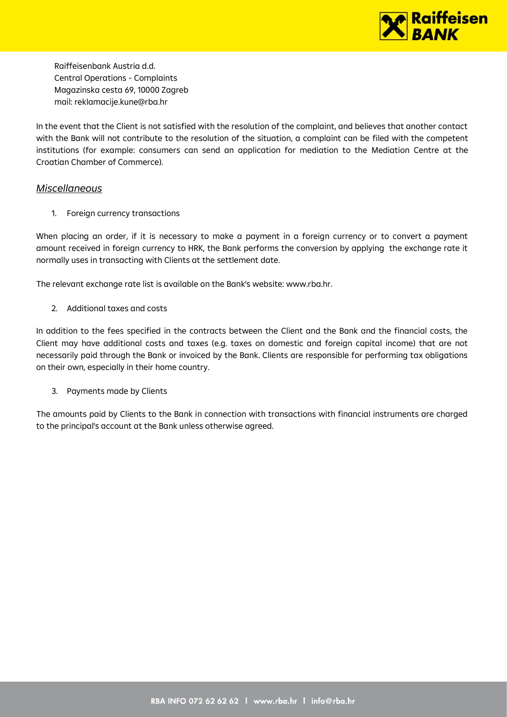

Raiffeisenbank Austria d.d. Central Operations - Complaints Magazinska cesta 69, 10000 Zagreb mail: reklamacije.kune@rba.hr

In the event that the Client is not satisfied with the resolution of the complaint, and believes that another contact with the Bank will not contribute to the resolution of the situation, a complaint can be filed with the competent institutions (for example: consumers can send an application for mediation to the Mediation Centre at the Croatian Chamber of Commerce).

# *Miscellaneous*

1. Foreign currency transactions

When placing an order, if it is necessary to make a payment in a foreign currency or to convert a payment amount received in foreign currency to HRK, the Bank performs the conversion by applying the exchange rate it normally uses in transacting with Clients at the settlement date.

The relevant exchange rate list is available on the Bank's website: www.rba.hr.

2. Additional taxes and costs

In addition to the fees specified in the contracts between the Client and the Bank and the financial costs, the Client may have additional costs and taxes (e.g. taxes on domestic and foreign capital income) that are not necessarily paid through the Bank or invoiced by the Bank. Clients are responsible for performing tax obligations on their own, especially in their home country.

3. Payments made by Clients

The amounts paid by Clients to the Bank in connection with transactions with financial instruments are charged to the principal's account at the Bank unless otherwise agreed.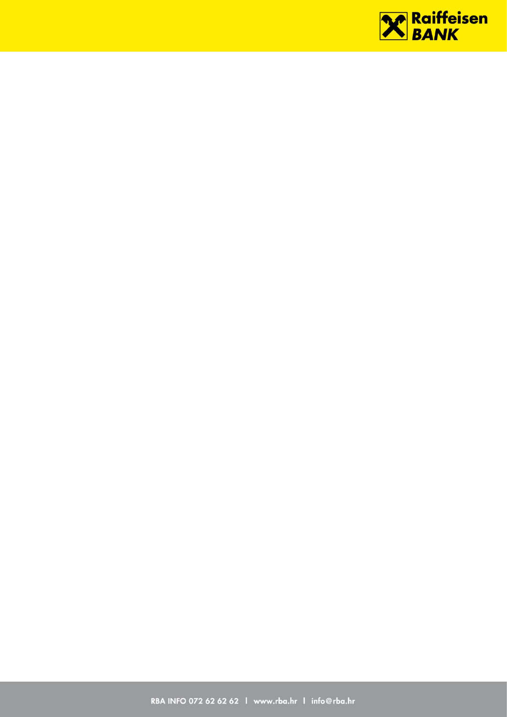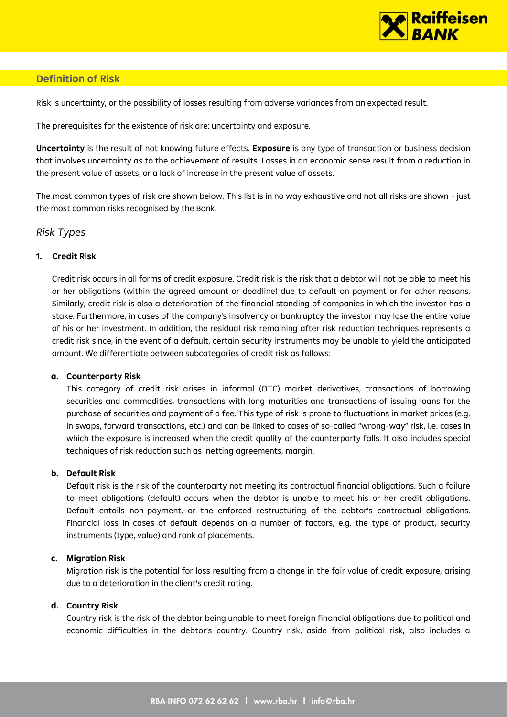

## **Definition of Risk**

Risk is uncertainty, or the possibility of losses resulting from adverse variances from an expected result.

The prerequisites for the existence of risk are: uncertainty and exposure.

**Uncertainty** is the result of not knowing future effects. **Exposure** is any type of transaction or business decision that involves uncertainty as to the achievement of results. Losses in an economic sense result from a reduction in the present value of assets, or a lack of increase in the present value of assets.

The most common types of risk are shown below. This list is in no way exhaustive and not all risks are shown - just the most common risks recognised by the Bank.

## *Risk Types*

## **1. Credit Risk**

Credit risk occurs in all forms of credit exposure. Credit risk is the risk that a debtor will not be able to meet his or her obligations (within the agreed amount or deadline) due to default on payment or for other reasons. Similarly, credit risk is also a deterioration of the financial standing of companies in which the investor has a stake. Furthermore, in cases of the company's insolvency or bankruptcy the investor may lose the entire value of his or her investment. In addition, the residual risk remaining after risk reduction techniques represents a credit risk since, in the event of a default, certain security instruments may be unable to yield the anticipated amount. We differentiate between subcategories of credit risk as follows:

#### **a. Counterparty Risk**

This category of credit risk arises in informal (OTC) market derivatives, transactions of borrowing securities and commodities, transactions with long maturities and transactions of issuing loans for the purchase of securities and payment of a fee. This type of risk is prone to fluctuations in market prices (e.g. in swaps, forward transactions, etc.) and can be linked to cases of so-called "wrong-way" risk, i.e. cases in which the exposure is increased when the credit quality of the counterparty falls. It also includes special techniques of risk reduction such as netting agreements, margin.

#### **b. Default Risk**

Default risk is the risk of the counterparty not meeting its contractual financial obligations. Such a failure to meet obligations (default) occurs when the debtor is unable to meet his or her credit obligations. Default entails non-payment, or the enforced restructuring of the debtor's contractual obligations. Financial loss in cases of default depends on a number of factors, e.g. the type of product, security instruments (type, value) and rank of placements.

#### **c. Migration Risk**

Migration risk is the potential for loss resulting from a change in the fair value of credit exposure, arising due to a deterioration in the client's credit rating.

#### **d. Country Risk**

Country risk is the risk of the debtor being unable to meet foreign financial obligations due to political and economic difficulties in the debtor's country. Country risk, aside from political risk, also includes a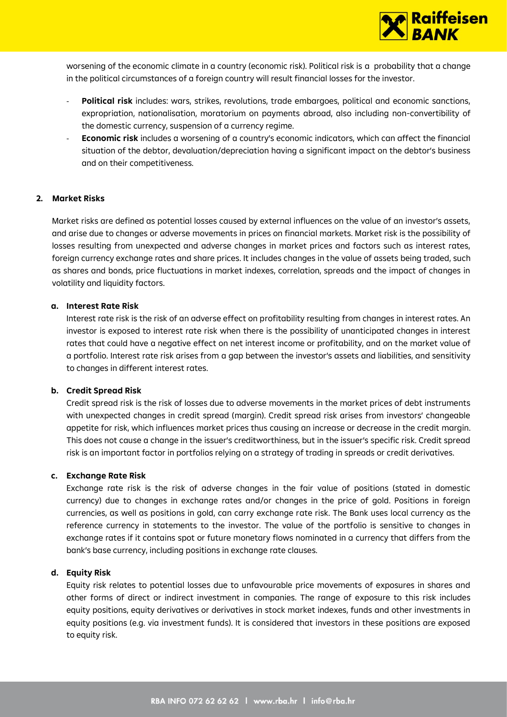

worsening of the economic climate in a country (economic risk). Political risk is a probability that a change in the political circumstances of a foreign country will result financial losses for the investor.

- Political risk includes: wars, strikes, revolutions, trade embargoes, political and economic sanctions, expropriation, nationalisation, moratorium on payments abroad, also including non-convertibility of the domestic currency, suspension of a currency regime.
- **Economic risk** includes a worsening of a country's economic indicators, which can affect the financial situation of the debtor, devaluation/depreciation having a significant impact on the debtor's business and on their competitiveness.

#### **2. Market Risks**

Market risks are defined as potential losses caused by external influences on the value of an investor's assets, and arise due to changes or adverse movements in prices on financial markets. Market risk is the possibility of losses resulting from unexpected and adverse changes in market prices and factors such as interest rates, foreign currency exchange rates and share prices. It includes changes in the value of assets being traded, such as shares and bonds, price fluctuations in market indexes, correlation, spreads and the impact of changes in volatility and liquidity factors.

#### **a. Interest Rate Risk**

Interest rate risk is the risk of an adverse effect on profitability resulting from changes in interest rates. An investor is exposed to interest rate risk when there is the possibility of unanticipated changes in interest rates that could have a negative effect on net interest income or profitability, and on the market value of a portfolio. Interest rate risk arises from a gap between the investor's assets and liabilities, and sensitivity to changes in different interest rates.

## **b. Credit Spread Risk**

Credit spread risk is the risk of losses due to adverse movements in the market prices of debt instruments with unexpected changes in credit spread (margin). Credit spread risk arises from investors' changeable appetite for risk, which influences market prices thus causing an increase or decrease in the credit margin. This does not cause a change in the issuer's creditworthiness, but in the issuer's specific risk. Credit spread risk is an important factor in portfolios relying on a strategy of trading in spreads or credit derivatives.

#### **c. Exchange Rate Risk**

Exchange rate risk is the risk of adverse changes in the fair value of positions (stated in domestic currency) due to changes in exchange rates and/or changes in the price of gold. Positions in foreign currencies, as well as positions in gold, can carry exchange rate risk. The Bank uses local currency as the reference currency in statements to the investor. The value of the portfolio is sensitive to changes in exchange rates if it contains spot or future monetary flows nominated in a currency that differs from the bank's base currency, including positions in exchange rate clauses.

#### **d. Equity Risk**

Equity risk relates to potential losses due to unfavourable price movements of exposures in shares and other forms of direct or indirect investment in companies. The range of exposure to this risk includes equity positions, equity derivatives or derivatives in stock market indexes, funds and other investments in equity positions (e.g. via investment funds). It is considered that investors in these positions are exposed to equity risk.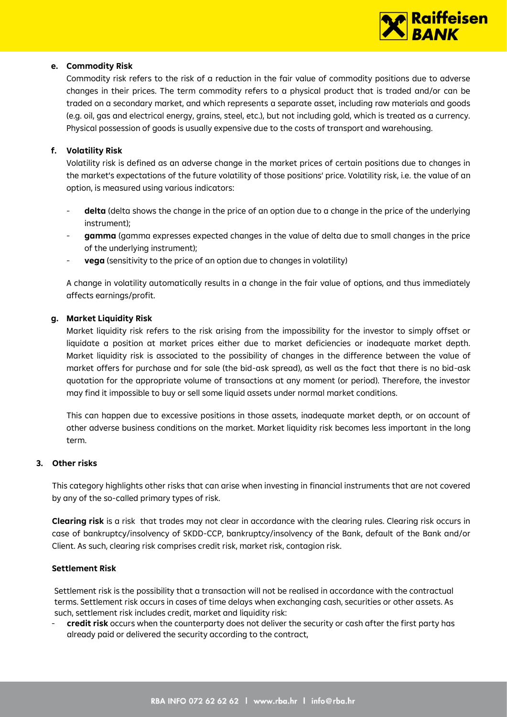

## **e. Commodity Risk**

Commodity risk refers to the risk of a reduction in the fair value of commodity positions due to adverse changes in their prices. The term commodity refers to a physical product that is traded and/or can be traded on a secondary market, and which represents a separate asset, including raw materials and goods (e.g. oil, gas and electrical energy, grains, steel, etc.), but not including gold, which is treated as a currency. Physical possession of goods is usually expensive due to the costs of transport and warehousing.

## **f. Volatility Risk**

Volatility risk is defined as an adverse change in the market prices of certain positions due to changes in the market's expectations of the future volatility of those positions' price. Volatility risk, i.e. the value of an option, is measured using various indicators:

- delta (delta shows the change in the price of an option due to a change in the price of the underlying instrument);
- gamma (gamma expresses expected changes in the value of delta due to small changes in the price of the underlying instrument);
- **vega** (sensitivity to the price of an option due to changes in volatility)

A change in volatility automatically results in a change in the fair value of options, and thus immediately affects earnings/profit.

## **g. Market Liquidity Risk**

Market liquidity risk refers to the risk arising from the impossibility for the investor to simply offset or liquidate a position at market prices either due to market deficiencies or inadequate market depth. Market liquidity risk is associated to the possibility of changes in the difference between the value of market offers for purchase and for sale (the bid-ask spread), as well as the fact that there is no bid-ask quotation for the appropriate volume of transactions at any moment (or period). Therefore, the investor may find it impossible to buy or sell some liquid assets under normal market conditions.

This can happen due to excessive positions in those assets, inadequate market depth, or on account of other adverse business conditions on the market. Market liquidity risk becomes less important in the long term.

## **3. Other risks**

This category highlights other risks that can arise when investing in financial instruments that are not covered by any of the so-called primary types of risk.

**Clearing risk** is a risk that trades may not clear in accordance with the clearing rules. Clearing risk occurs in case of bankruptcy/insolvency of SKDD-CCP, bankruptcy/insolvency of the Bank, default of the Bank and/or Client. As such, clearing risk comprises credit risk, market risk, contagion risk.

## **Settlement Risk**

Settlement risk is the possibility that a transaction will not be realised in accordance with the contractual terms. Settlement risk occurs in cases of time delays when exchanging cash, securities or other assets. As such, settlement risk includes credit, market and liquidity risk:

- **credit risk** occurs when the counterparty does not deliver the security or cash after the first party has already paid or delivered the security according to the contract,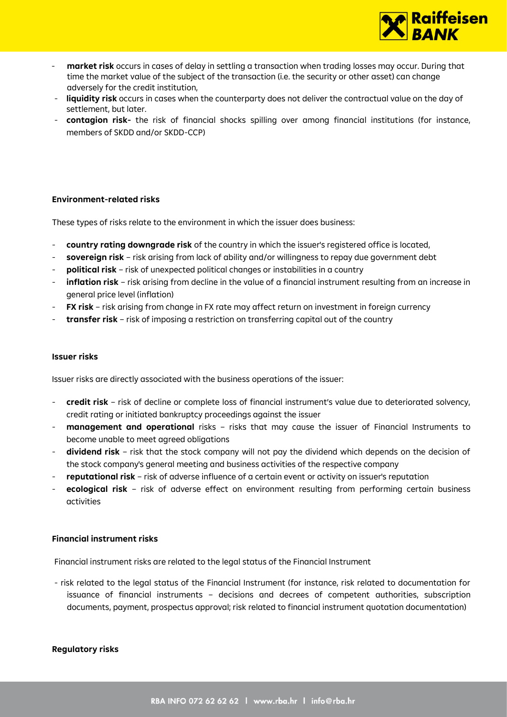

- market risk occurs in cases of delay in settling a transaction when trading losses may occur. During that time the market value of the subject of the transaction (i.e. the security or other asset) can change adversely for the credit institution,
- **liquidity risk** occurs in cases when the counterparty does not deliver the contractual value on the day of settlement, but later.
- **contagion risk-** the risk of financial shocks spilling over among financial institutions (for instance, members of SKDD and/or SKDD-CCP)

#### **Environment-related risks**

These types of risks relate to the environment in which the issuer does business:

- **country rating downgrade risk** of the country in which the issuer's registered office is located,
- **sovereign risk** risk arising from lack of ability and/or willingness to repay due government debt
- **political risk** risk of unexpected political changes or instabilities in a country
- **inflation risk** risk arising from decline in the value of a financial instrument resulting from an increase in general price level (inflation)
- **FX risk** risk arising from change in FX rate may affect return on investment in foreign currency
- **transfer risk** risk of imposing a restriction on transferring capital out of the country

#### **Issuer risks**

Issuer risks are directly associated with the business operations of the issuer:

- **credit risk**  risk of decline or complete loss of financial instrument's value due to deteriorated solvency, credit rating or initiated bankruptcy proceedings against the issuer
- **management and operational** risks risks that may cause the issuer of Financial Instruments to become unable to meet agreed obligations
- dividend risk risk that the stock company will not pay the dividend which depends on the decision of the stock company's general meeting and business activities of the respective company
- **reputational risk** risk of adverse influence of a certain event or activity on issuer's reputation
- **ecological risk** risk of adverse effect on environment resulting from performing certain business activities

#### **Financial instrument risks**

Financial instrument risks are related to the legal status of the Financial Instrument

- risk related to the legal status of the Financial Instrument (for instance, risk related to documentation for issuance of financial instruments – decisions and decrees of competent authorities, subscription documents, payment, prospectus approval; risk related to financial instrument quotation documentation)

#### **Regulatory risks**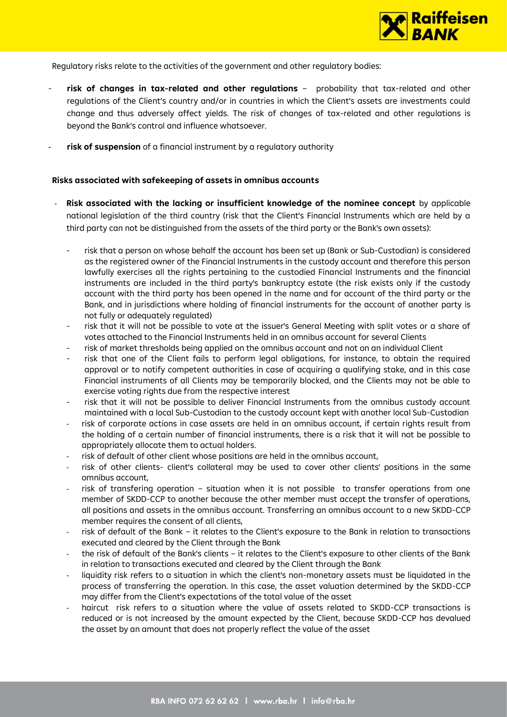

Regulatory risks relate to the activities of the government and other regulatory bodies:

- **risk of changes in tax-related and other regulations** probability that tax-related and other regulations of the Client's country and/or in countries in which the Client's assets are investments could change and thus adversely affect yields. The risk of changes of tax-related and other regulations is beyond the Bank's control and influence whatsoever.
- risk of suspension of a financial instrument by a regulatory authority

#### **Risks associated with safekeeping of assets in omnibus accounts**

- **Risk associated with the lacking or insufficient knowledge of the nominee concept** by applicable national legislation of the third country (risk that the Client's Financial Instruments which are held by a third party can not be distinguished from the assets of the third party or the Bank's own assets):
	- risk that a person on whose behalf the account has been set up (Bank or Sub-Custodian) is considered as the registered owner of the Financial Instruments in the custody account and therefore this person lawfully exercises all the rights pertaining to the custodied Financial Instruments and the financial instruments are included in the third party's bankruptcy estate (the risk exists only if the custody account with the third party has been opened in the name and for account of the third party or the Bank, and in jurisdictions where holding of financial instruments for the account of another party is not fully or adequately regulated)
	- risk that it will not be possible to vote at the issuer's General Meeting with split votes or a share of votes attached to the Financial Instruments held in an omnibus account for several Clients
	- risk of market thresholds being applied on the omnibus account and not on an individual Client
	- risk that one of the Client fails to perform legal obligations, for instance, to obtain the required approval or to notify competent authorities in case of acquiring a qualifying stake, and in this case Financial instruments of all Clients may be temporarily blocked, and the Clients may not be able to exercise voting rights due from the respective interest
	- risk that it will not be possible to deliver Financial Instruments from the omnibus custody account maintained with a local Sub-Custodian to the custody account kept with another local Sub-Custodian
	- risk of corporate actions in case assets are held in an omnibus account, if certain rights result from the holding of a certain number of financial instruments, there is a risk that it will not be possible to appropriately allocate them to actual holders.
	- risk of default of other client whose positions are held in the omnibus account,
	- risk of other clients- client's collateral may be used to cover other clients' positions in the same omnibus account,
	- risk of transfering operation situation when it is not possible to transfer operations from one member of SKDD-CCP to another because the other member must accept the transfer of operations, all positions and assets in the omnibus account. Transferring an omnibus account to a new SKDD-CCP member requires the consent of all clients,
	- risk of default of the Bank it relates to the Client's exposure to the Bank in relation to transactions executed and cleared by the Client through the Bank
	- the risk of default of the Bank's clients it relates to the Client's exposure to other clients of the Bank in relation to transactions executed and cleared by the Client through the Bank
	- liquidity risk refers to a situation in which the client's non-monetary assets must be liquidated in the process of transferring the operation. In this case, the asset valuation determined by the SKDD-CCP may differ from the Client's expectations of the total value of the asset
	- haircut risk refers to a situation where the value of assets related to SKDD-CCP transactions is reduced or is not increased by the amount expected by the Client, because SKDD-CCP has devalued the asset by an amount that does not properly reflect the value of the asset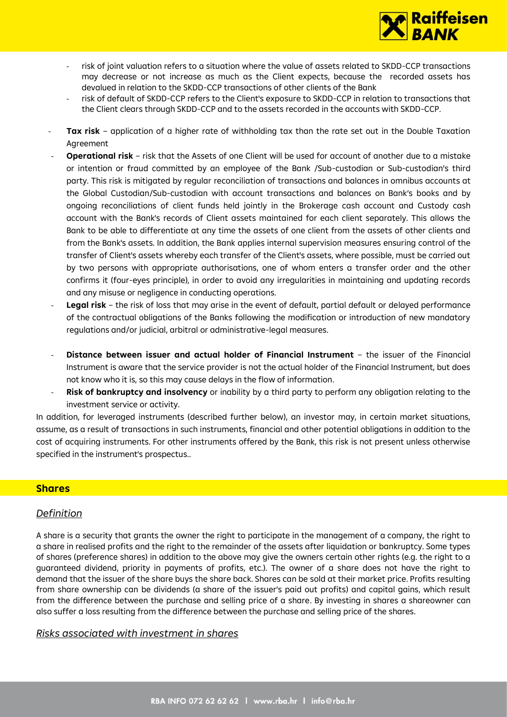

- risk of joint valuation refers to a situation where the value of assets related to SKDD-CCP transactions may decrease or not increase as much as the Client expects, because the recorded assets has devalued in relation to the SKDD-CCP transactions of other clients of the Bank
- risk of default of SKDD-CCP refers to the Client's exposure to SKDD-CCP in relation to transactions that the Client clears through SKDD-CCP and to the assets recorded in the accounts with SKDD-CCP.
- **Tax risk** application of a higher rate of withholding tax than the rate set out in the Double Taxation Agreement
- **Operational risk** risk that the Assets of one Client will be used for account of another due to a mistake or intention or fraud committed by an employee of the Bank /Sub-custodian or Sub-custodian's third party. This risk is mitigated by regular reconciliation of transactions and balances in omnibus accounts at the Global Custodian/Sub-custodian with account transactions and balances on Bank's books and by ongoing reconciliations of client funds held jointly in the Brokerage cash account and Custody cash account with the Bank's records of Client assets maintained for each client separately. This allows the Bank to be able to differentiate at any time the assets of one client from the assets of other clients and from the Bank's assets. In addition, the Bank applies internal supervision measures ensuring control of the transfer of Client's assets whereby each transfer of the Client's assets, where possible, must be carried out by two persons with appropriate authorisations, one of whom enters a transfer order and the other confirms it (four-eyes principle), in order to avoid any irregularities in maintaining and updating records and any misuse or negligence in conducting operations.
- Legal risk the risk of loss that may arise in the event of default, partial default or delayed performance of the contractual obligations of the Banks following the modification or introduction of new mandatory regulations and/or judicial, arbitral or administrative-legal measures.
- **Distance between issuer and actual holder of Financial Instrument** the issuer of the Financial Instrument is aware that the service provider is not the actual holder of the Financial Instrument, but does not know who it is, so this may cause delays in the flow of information.
- **Risk of bankruptcy and insolvency** or inability by a third party to perform any obligation relating to the investment service or activity.

In addition, for leveraged instruments (described further below), an investor may, in certain market situations, assume, as a result of transactions in such instruments, financial and other potential obligations in addition to the cost of acquiring instruments. For other instruments offered by the Bank, this risk is not present unless otherwise specified in the instrument's prospectus..

## **Shares**

# *Definition*

A share is a security that grants the owner the right to participate in the management of a company, the right to a share in realised profits and the right to the remainder of the assets after liquidation or bankruptcy. Some types of shares (preference shares) in addition to the above may give the owners certain other rights (e.g. the right to a guaranteed dividend, priority in payments of profits, etc.). The owner of a share does not have the right to demand that the issuer of the share buys the share back. Shares can be sold at their market price. Profits resulting from share ownership can be dividends (a share of the issuer's paid out profits) and capital gains, which result from the difference between the purchase and selling price of a share. By investing in shares a shareowner can also suffer a loss resulting from the difference between the purchase and selling price of the shares.

## *Risks associated with investment in shares*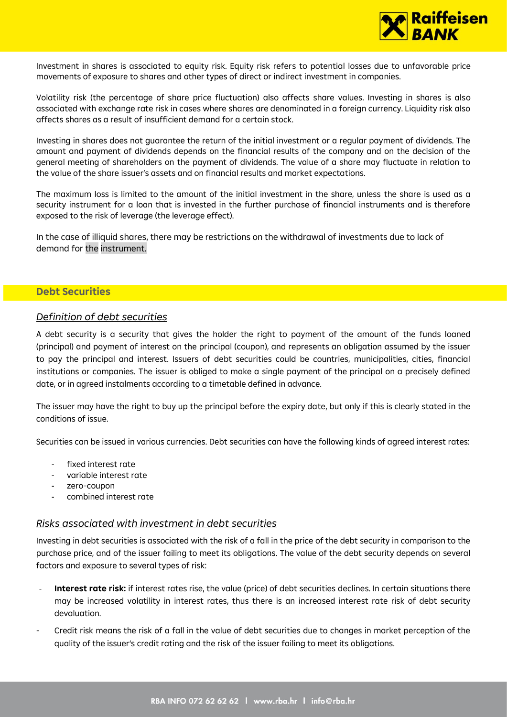

Investment in shares is associated to equity risk. Equity risk refers to potential losses due to unfavorable price movements of exposure to shares and other types of direct or indirect investment in companies.

Volatility risk (the percentage of share price fluctuation) also affects share values. Investing in shares is also associated with exchange rate risk in cases where shares are denominated in a foreign currency. Liquidity risk also affects shares as a result of insufficient demand for a certain stock.

Investing in shares does not guarantee the return of the initial investment or a regular payment of dividends. The amount and payment of dividends depends on the financial results of the company and on the decision of the general meeting of shareholders on the payment of dividends. The value of a share may fluctuate in relation to the value of the share issuer's assets and on financial results and market expectations.

The maximum loss is limited to the amount of the initial investment in the share, unless the share is used as a security instrument for a loan that is invested in the further purchase of financial instruments and is therefore exposed to the risk of leverage (the leverage effect).

In the case of illiquid shares, there may be restrictions on the withdrawal of investments due to lack of demand for the instrument.

## **Debt Securities**

## *Definition of debt securities*

A debt security is a security that gives the holder the right to payment of the amount of the funds loaned (principal) and payment of interest on the principal (coupon), and represents an obligation assumed by the issuer to pay the principal and interest. Issuers of debt securities could be countries, municipalities, cities, financial institutions or companies. The issuer is obliged to make a single payment of the principal on a precisely defined date, or in agreed instalments according to a timetable defined in advance.

The issuer may have the right to buy up the principal before the expiry date, but only if this is clearly stated in the conditions of issue.

Securities can be issued in various currencies. Debt securities can have the following kinds of agreed interest rates:

- fixed interest rate
- variable interest rate
- zero-coupon
- combined interest rate

# *Risks associated with investment in debt securities*

Investing in debt securities is associated with the risk of a fall in the price of the debt security in comparison to the purchase price, and of the issuer failing to meet its obligations. The value of the debt security depends on several factors and exposure to several types of risk:

- Interest rate risk: if interest rates rise, the value (price) of debt securities declines. In certain situations there may be increased volatility in interest rates, thus there is an increased interest rate risk of debt security devaluation.
- Credit risk means the risk of a fall in the value of debt securities due to changes in market perception of the quality of the issuer's credit rating and the risk of the issuer failing to meet its obligations.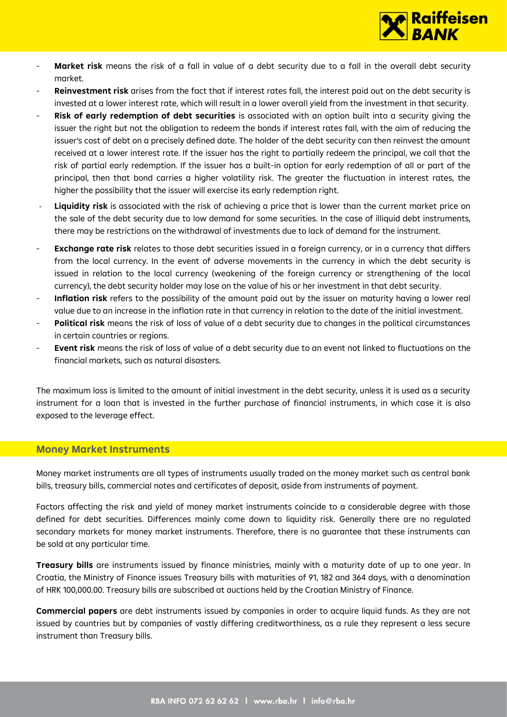

- Market risk means the risk of a fall in value of a debt security due to a fall in the overall debt security market.
- Reinvestment risk arises from the fact that if interest rates fall, the interest paid out on the debt security is invested at a lower interest rate, which will result in a lower overall yield from the investment in that security.
- **Risk of early redemption of debt securities** is associated with an option built into a security giving the issuer the right but not the obligation to redeem the bonds if interest rates fall, with the aim of reducing the issuer's cost of debt on a precisely defined date. The holder of the debt security can then reinvest the amount received at a lower interest rate. If the issuer has the right to partially redeem the principal, we call that the risk of partial early redemption. If the issuer has a built-in option for early redemption of all or part of the principal, then that bond carries a higher volatility risk. The greater the fluctuation in interest rates, the higher the possibility that the issuer will exercise its early redemption right.
- Liquidity risk is associated with the risk of achieving a price that is lower than the current market price on the sale of the debt security due to low demand for some securities. In the case of illiquid debt instruments, there may be restrictions on the withdrawal of investments due to lack of demand for the instrument.
- **Exchange rate risk** relates to those debt securities issued in a foreign currency, or in a currency that differs from the local currency. In the event of adverse movements in the currency in which the debt security is issued in relation to the local currency (weakening of the foreign currency or strengthening of the local currency), the debt security holder may lose on the value of his or her investment in that debt security.
- **Inflation risk** refers to the possibility of the amount paid out by the issuer on maturity having a lower real value due to an increase in the inflation rate in that currency in relation to the date of the initial investment.
- **Political risk** means the risk of loss of value of a debt security due to changes in the political circumstances in certain countries or regions.
- **Event risk** means the risk of loss of value of a debt security due to an event not linked to fluctuations on the financial markets, such as natural disasters.

The maximum loss is limited to the amount of initial investment in the debt security, unless it is used as a security instrument for a loan that is invested in the further purchase of financial instruments, in which case it is also exposed to the leverage effect.

## **Money Market Instruments**

Money market instruments are all types of instruments usually traded on the money market such as central bank bills, treasury bills, commercial notes and certificates of deposit, aside from instruments of payment.

Factors affecting the risk and yield of money market instruments coincide to a considerable degree with those defined for debt securities. Differences mainly come down to liquidity risk. Generally there are no regulated secondary markets for money market instruments. Therefore, there is no guarantee that these instruments can be sold at any particular time.

**Treasury bills** are instruments issued by finance ministries, mainly with a maturity date of up to one year. In Croatia, the Ministry of Finance issues Treasury bills with maturities of 91, 182 and 364 days, with a denomination of HRK 100,000.00. Treasury bills are subscribed at auctions held by the Croatian Ministry of Finance.

**Commercial papers** are debt instruments issued by companies in order to acquire liquid funds. As they are not issued by countries but by companies of vastly differing creditworthiness, as a rule they represent a less secure instrument than Treasury bills.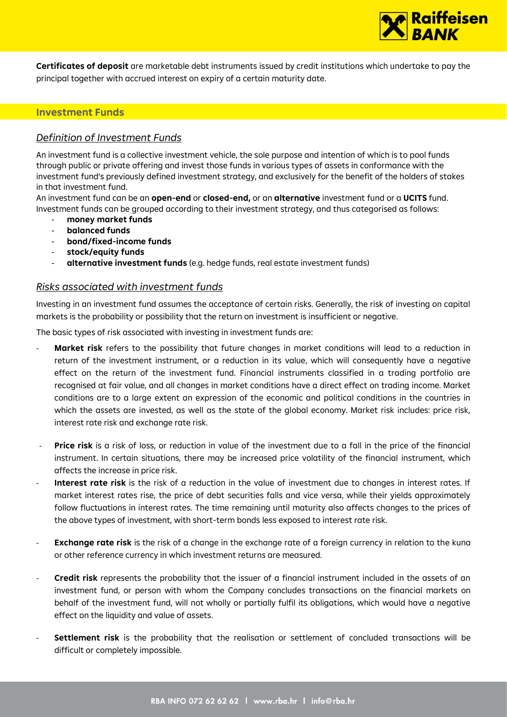

**Certificates of deposit** are marketable debt instruments issued by credit institutions which undertake to pay the principal together with accrued interest on expiry of a certain maturity date.

## **Investment Funds**

## *Definition of Investment Funds*

An investment fund is a collective investment vehicle, the sole purpose and intention of which is to pool funds through public or private offering and invest those funds in various types of assets in conformance with the investment fund's previously defined investment strategy, and exclusively for the benefit of the holders of stakes in that investment fund.

An investment fund can be an **open-end** or **closed-end,** or an **alternative** investment fund or a **UCITS** fund. Investment funds can be grouped according to their investment strategy, and thus categorised as follows:

- **money market funds**
- **balanced funds**
- **bond/fixed-income funds**
- **stock/equity funds**
- **alternative investment funds** (e.g. hedge funds, real estate investment funds)

## *Risks associated with investment funds*

Investing in an investment fund assumes the acceptance of certain risks. Generally, the risk of investing on capital markets is the probability or possibility that the return on investment is insufficient or negative.

The basic types of risk associated with investing in investment funds are:

- Market risk refers to the possibility that future changes in market conditions will lead to a reduction in return of the investment instrument, or a reduction in its value, which will consequently have a negative effect on the return of the investment fund. Financial instruments classified in a trading portfolio are recognised at fair value, and all changes in market conditions have a direct effect on trading income. Market conditions are to a large extent an expression of the economic and political conditions in the countries in which the assets are invested, as well as the state of the global economy. Market risk includes: price risk, interest rate risk and exchange rate risk.
- Price risk is a risk of loss, or reduction in value of the investment due to a fall in the price of the financial instrument. In certain situations, there may be increased price volatility of the financial instrument, which affects the increase in price risk.
- Interest rate risk is the risk of a reduction in the value of investment due to changes in interest rates. If market interest rates rise, the price of debt securities falls and vice versa, while their yields approximately follow fluctuations in interest rates. The time remaining until maturity also affects changes to the prices of the above types of investment, with short-term bonds less exposed to interest rate risk.
- **Exchange rate risk** is the risk of a change in the exchange rate of a foreign currency in relation to the kuna or other reference currency in which investment returns are measured.
- **Credit risk** represents the probability that the issuer of a financial instrument included in the assets of an investment fund, or person with whom the Company concludes transactions on the financial markets on behalf of the investment fund, will not wholly or partially fulfil its obligations, which would have a negative effect on the liquidity and value of assets.
- Settlement risk is the probability that the realisation or settlement of concluded transactions will be difficult or completely impossible.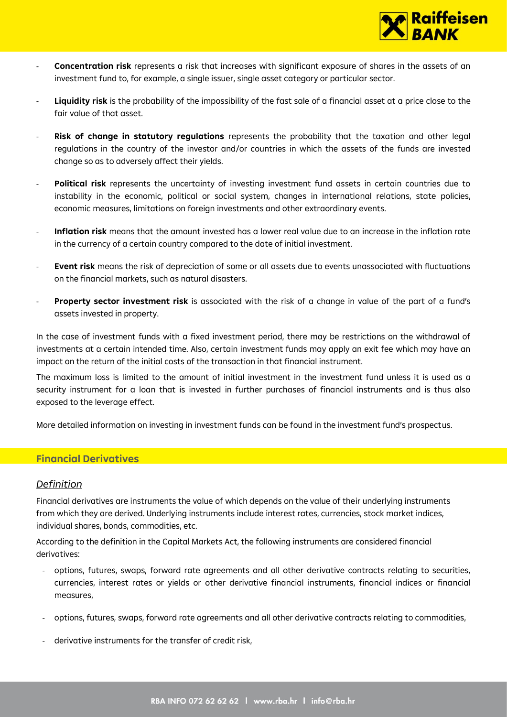

- **Concentration risk** represents a risk that increases with significant exposure of shares in the assets of an investment fund to, for example, a single issuer, single asset category or particular sector.
- Liquidity risk is the probability of the impossibility of the fast sale of a financial asset at a price close to the fair value of that asset.
- **Risk of change in statutory regulations** represents the probability that the taxation and other legal regulations in the country of the investor and/or countries in which the assets of the funds are invested change so as to adversely affect their yields.
- **Political risk** represents the uncertainty of investing investment fund assets in certain countries due to instability in the economic, political or social system, changes in international relations, state policies, economic measures, limitations on foreign investments and other extraordinary events.
- **Inflation risk** means that the amount invested has a lower real value due to an increase in the inflation rate in the currency of a certain country compared to the date of initial investment.
- **Event risk** means the risk of depreciation of some or all assets due to events unassociated with fluctuations on the financial markets, such as natural disasters.
- **Property sector investment risk** is associated with the risk of a change in value of the part of a fund's assets invested in property.

In the case of investment funds with a fixed investment period, there may be restrictions on the withdrawal of investments at a certain intended time. Also, certain investment funds may apply an exit fee which may have an impact on the return of the initial costs of the transaction in that financial instrument.

The maximum loss is limited to the amount of initial investment in the investment fund unless it is used as a security instrument for a loan that is invested in further purchases of financial instruments and is thus also exposed to the leverage effect.

More detailed information on investing in investment funds can be found in the investment fund's prospectus.

# **Financial Derivatives**

# *Definition*

Financial derivatives are instruments the value of which depends on the value of their underlying instruments from which they are derived. Underlying instruments include interest rates, currencies, stock market indices, individual shares, bonds, commodities, etc.

According to the definition in the Capital Markets Act, the following instruments are considered financial derivatives:

- options, futures, swaps, forward rate agreements and all other derivative contracts relating to securities, currencies, interest rates or yields or other derivative financial instruments, financial indices or financial measures,
- options, futures, swaps, forward rate agreements and all other derivative contracts relating to commodities,
- derivative instruments for the transfer of credit risk,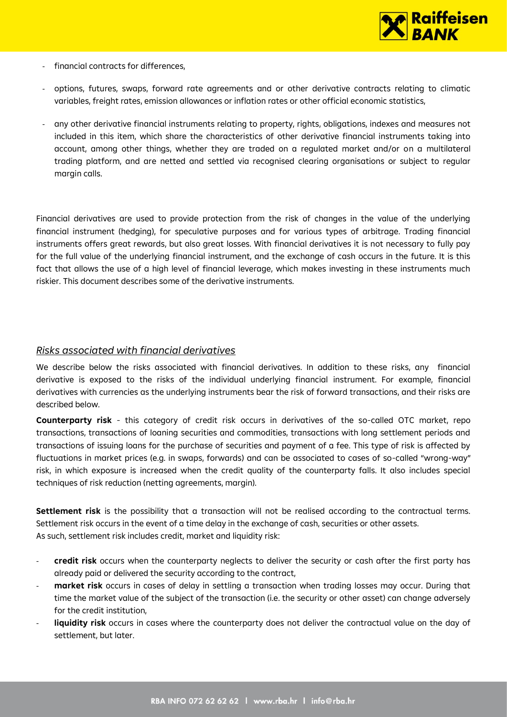

- financial contracts for differences.
- options, futures, swaps, forward rate agreements and or other derivative contracts relating to climatic variables, freight rates, emission allowances or inflation rates or other official economic statistics,
- any other derivative financial instruments relating to property, rights, obligations, indexes and measures not included in this item, which share the characteristics of other derivative financial instruments taking into account, among other things, whether they are traded on a regulated market and/or on a multilateral trading platform, and are netted and settled via recognised clearing organisations or subject to regular margin calls.

Financial derivatives are used to provide protection from the risk of changes in the value of the underlying financial instrument (hedging), for speculative purposes and for various types of arbitrage. Trading financial instruments offers great rewards, but also great losses. With financial derivatives it is not necessary to fully pay for the full value of the underlying financial instrument, and the exchange of cash occurs in the future. It is this fact that allows the use of a high level of financial leverage, which makes investing in these instruments much riskier. This document describes some of the derivative instruments.

## *Risks associated with financial derivatives*

We describe below the risks associated with financial derivatives. In addition to these risks, any financial derivative is exposed to the risks of the individual underlying financial instrument. For example, financial derivatives with currencies as the underlying instruments bear the risk of forward transactions, and their risks are described below.

**Counterparty risk** - this category of credit risk occurs in derivatives of the so-called OTC market, repo transactions, transactions of loaning securities and commodities, transactions with long settlement periods and transactions of issuing loans for the purchase of securities and payment of a fee. This type of risk is affected by fluctuations in market prices (e.g. in swaps, forwards) and can be associated to cases of so-called "wrong-way" risk, in which exposure is increased when the credit quality of the counterparty falls. It also includes special techniques of risk reduction (netting agreements, margin).

**Settlement risk** is the possibility that a transaction will not be realised according to the contractual terms. Settlement risk occurs in the event of a time delay in the exchange of cash, securities or other assets. As such, settlement risk includes credit, market and liquidity risk:

- **credit risk** occurs when the counterparty neglects to deliver the security or cash after the first party has already paid or delivered the security according to the contract,
- market risk occurs in cases of delay in settling a transaction when trading losses may occur. During that time the market value of the subject of the transaction (i.e. the security or other asset) can change adversely for the credit institution,
- liquidity risk occurs in cases where the counterparty does not deliver the contractual value on the day of settlement, but later.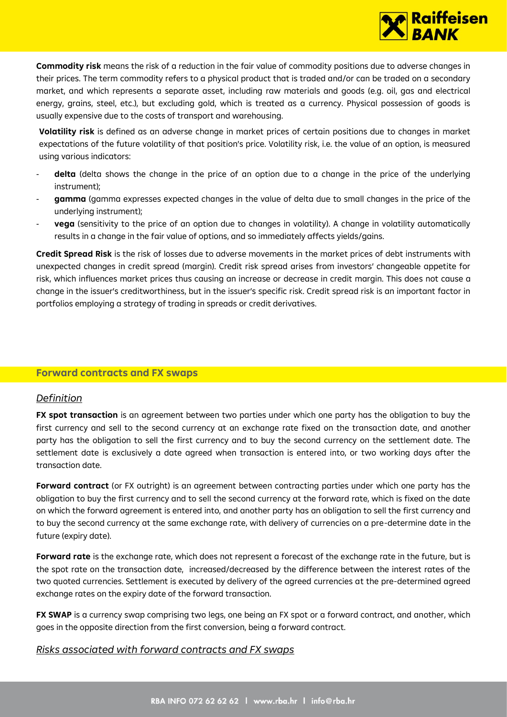

**Commodity risk** means the risk of a reduction in the fair value of commodity positions due to adverse changes in their prices. The term commodity refers to a physical product that is traded and/or can be traded on a secondary market, and which represents a separate asset, including raw materials and goods (e.g. oil, gas and electrical energy, grains, steel, etc.), but excluding gold, which is treated as a currency. Physical possession of goods is usually expensive due to the costs of transport and warehousing.

**Volatility risk** is defined as an adverse change in market prices of certain positions due to changes in market expectations of the future volatility of that position's price. Volatility risk, i.e. the value of an option, is measured using various indicators:

- **delta** (delta shows the change in the price of an option due to a change in the price of the underlying instrument);
- gamma (gamma expresses expected changes in the value of delta due to small changes in the price of the underlying instrument);
- **vega** (sensitivity to the price of an option due to changes in volatility). A change in volatility automatically results in a change in the fair value of options, and so immediately affects yields/gains.

**Credit Spread Risk** is the risk of losses due to adverse movements in the market prices of debt instruments with unexpected changes in credit spread (margin). Credit risk spread arises from investors' changeable appetite for risk, which influences market prices thus causing an increase or decrease in credit margin. This does not cause a change in the issuer's creditworthiness, but in the issuer's specific risk. Credit spread risk is an important factor in portfolios employing a strategy of trading in spreads or credit derivatives.

## **Forward contracts and FX swaps**

# *Definition*

**FX spot transaction** is an agreement between two parties under which one party has the obligation to buy the first currency and sell to the second currency at an exchange rate fixed on the transaction date, and another party has the obligation to sell the first currency and to buy the second currency on the settlement date. The settlement date is exclusively a date agreed when transaction is entered into, or two working days after the transaction date.

**Forward contract** (or FX outright) is an agreement between contracting parties under which one party has the obligation to buy the first currency and to sell the second currency at the forward rate, which is fixed on the date on which the forward agreement is entered into, and another party has an obligation to sell the first currency and to buy the second currency at the same exchange rate, with delivery of currencies on a pre-determine date in the future (expiry date).

**Forward rate** is the exchange rate, which does not represent a forecast of the exchange rate in the future, but is the spot rate on the transaction date, increased/decreased by the difference between the interest rates of the two quoted currencies. Settlement is executed by delivery of the agreed currencies at the pre-determined agreed exchange rates on the expiry date of the forward transaction.

**FX SWAP** is a currency swap comprising two legs, one being an FX spot or a forward contract, and another, which goes in the opposite direction from the first conversion, being a forward contract.

## *Risks associated with forward contracts and FX swaps*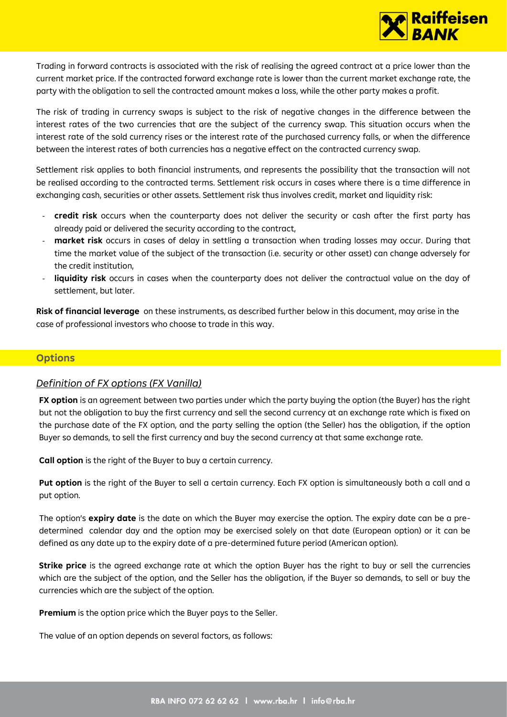

Trading in forward contracts is associated with the risk of realising the agreed contract at a price lower than the current market price. If the contracted forward exchange rate is lower than the current market exchange rate, the party with the obligation to sell the contracted amount makes a loss, while the other party makes a profit.

The risk of trading in currency swaps is subject to the risk of negative changes in the difference between the interest rates of the two currencies that are the subject of the currency swap. This situation occurs when the interest rate of the sold currency rises or the interest rate of the purchased currency falls, or when the difference between the interest rates of both currencies has a negative effect on the contracted currency swap.

Settlement risk applies to both financial instruments, and represents the possibility that the transaction will not be realised according to the contracted terms. Settlement risk occurs in cases where there is a time difference in exchanging cash, securities or other assets. Settlement risk thus involves credit, market and liquidity risk:

- **credit risk** occurs when the counterparty does not deliver the security or cash after the first party has already paid or delivered the security according to the contract,
- **market risk** occurs in cases of delay in settling a transaction when trading losses may occur. During that time the market value of the subject of the transaction (i.e. security or other asset) can change adversely for the credit institution,
- liquidity risk occurs in cases when the counterparty does not deliver the contractual value on the day of settlement, but later.

**Risk of financial leverage** on these instruments, as described further below in this document, may arise in the case of professional investors who choose to trade in this way.

## **Options**

## *Definition of FX options (FX Vanilla)*

**FX option** is an agreement between two parties under which the party buying the option (the Buyer) has the right but not the obligation to buy the first currency and sell the second currency at an exchange rate which is fixed on the purchase date of the FX option, and the party selling the option (the Seller) has the obligation, if the option Buyer so demands, to sell the first currency and buy the second currency at that same exchange rate.

**Call option** is the right of the Buyer to buy a certain currency.

**Put option** is the right of the Buyer to sell a certain currency. Each FX option is simultaneously both a call and a put option.

The option's **expiry date** is the date on which the Buyer may exercise the option. The expiry date can be a predetermined calendar day and the option may be exercised solely on that date (European option) or it can be defined as any date up to the expiry date of a pre-determined future period (American option).

**Strike price** is the agreed exchange rate at which the option Buyer has the right to buy or sell the currencies which are the subject of the option, and the Seller has the obligation, if the Buyer so demands, to sell or buy the currencies which are the subject of the option.

**Premium** is the option price which the Buyer pays to the Seller.

The value of an option depends on several factors, as follows: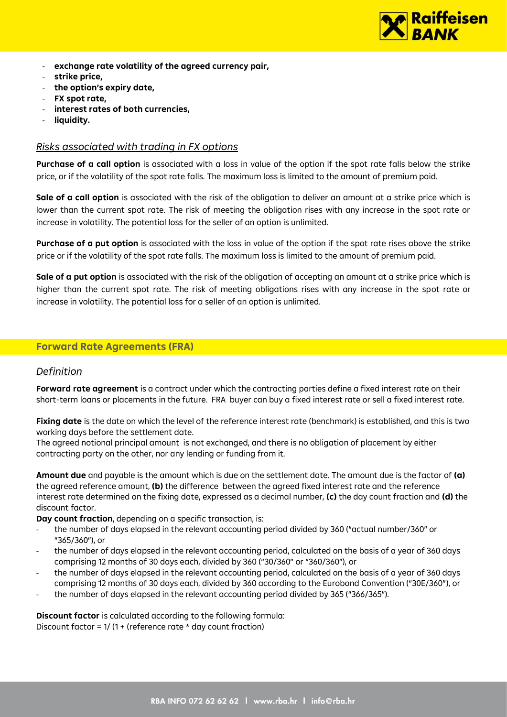

- exchange rate volatility of the agreed currency pair,
- **strike price,**
- **the option's expiry date,**
- **FX spot rate,**
- **interest rates of both currencies,**
- **liquidity.**

## *Risks associated with trading in FX options*

**Purchase of a call option** is associated with a loss in value of the option if the spot rate falls below the strike price, or if the volatility of the spot rate falls. The maximum loss is limited to the amount of premium paid.

**Sale of a call option** is associated with the risk of the obligation to deliver an amount at a strike price which is lower than the current spot rate. The risk of meeting the obligation rises with any increase in the spot rate or increase in volatility. The potential loss for the seller of an option is unlimited.

**Purchase of a put option** is associated with the loss in value of the option if the spot rate rises above the strike price or if the volatility of the spot rate falls. The maximum loss is limited to the amount of premium paid.

**Sale of a put option** is associated with the risk of the obligation of accepting an amount at a strike price which is higher than the current spot rate. The risk of meeting obligations rises with any increase in the spot rate or increase in volatility. The potential loss for a seller of an option is unlimited.

## **Forward Rate Agreements (FRA)**

# *Definition*

**Forward rate agreement** is a contract under which the contracting parties define a fixed interest rate on their short-term loans or placements in the future. FRA buyer can buy a fixed interest rate or sell a fixed interest rate.

**Fixing date** is the date on which the level of the reference interest rate (benchmark) is established, and this is two working days before the settlement date.

The agreed notional principal amount is not exchanged, and there is no obligation of placement by either contracting party on the other, nor any lending or funding from it.

**Amount due** and payable is the amount which is due on the settlement date. The amount due is the factor of **(a)**  the agreed reference amount, **(b)** the difference between the agreed fixed interest rate and the reference interest rate determined on the fixing date, expressed as a decimal number, **(c)** the day count fraction and **(d)** the discount factor.

**Day count fraction**, depending on a specific transaction, is:

- the number of days elapsed in the relevant accounting period divided by 360 ("actual number/360" or "365/360"), or
- the number of days elapsed in the relevant accounting period, calculated on the basis of a year of 360 days comprising 12 months of 30 days each, divided by 360 ("30/360" or "360/360"), or
- the number of days elapsed in the relevant accounting period, calculated on the basis of a year of 360 days comprising 12 months of 30 days each, divided by 360 according to the Eurobond Convention ("30E/360"), or
- the number of days elapsed in the relevant accounting period divided by 365 ("366/365").

**Discount factor** is calculated according to the following formula: Discount factor = 1/ (1 + (reference rate \* day count fraction)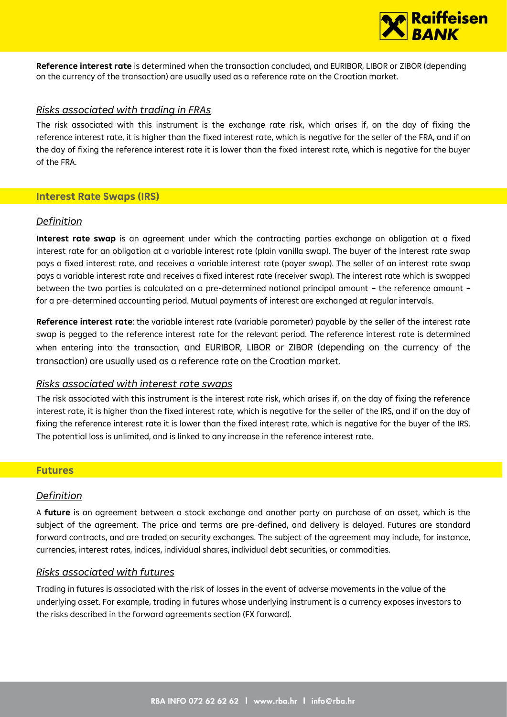

**Reference interest rate** is determined when the transaction concluded, and EURIBOR, LIBOR or ZIBOR (depending on the currency of the transaction) are usually used as a reference rate on the Croatian market.

## *Risks associated with trading in FRAs*

The risk associated with this instrument is the exchange rate risk, which arises if, on the day of fixing the reference interest rate, it is higher than the fixed interest rate, which is negative for the seller of the FRA, and if on the day of fixing the reference interest rate it is lower than the fixed interest rate, which is negative for the buyer of the FRA.

## **Interest Rate Swaps (IRS)**

## *Definition*

**Interest rate swap** is an agreement under which the contracting parties exchange an obligation at a fixed interest rate for an obligation at a variable interest rate (plain vanilla swap). The buyer of the interest rate swap pays a fixed interest rate, and receives a variable interest rate (payer swap). The seller of an interest rate swap pays a variable interest rate and receives a fixed interest rate (receiver swap). The interest rate which is swapped between the two parties is calculated on a pre-determined notional principal amount – the reference amount – for a pre-determined accounting period. Mutual payments of interest are exchanged at regular intervals.

**Reference interest rate**: the variable interest rate (variable parameter) payable by the seller of the interest rate swap is pegged to the reference interest rate for the relevant period. The reference interest rate is determined when entering into the transaction, and EURIBOR, LIBOR or ZIBOR (depending on the currency of the transaction) are usually used as a reference rate on the Croatian market.

## *Risks associated with interest rate swaps*

The risk associated with this instrument is the interest rate risk, which arises if, on the day of fixing the reference interest rate, it is higher than the fixed interest rate, which is negative for the seller of the IRS, and if on the day of fixing the reference interest rate it is lower than the fixed interest rate, which is negative for the buyer of the IRS. The potential loss is unlimited, and is linked to any increase in the reference interest rate.

## **Futures**

## *Definition*

A **future** is an agreement between a stock exchange and another party on purchase of an asset, which is the subject of the agreement. The price and terms are pre-defined, and delivery is delayed. Futures are standard forward contracts, and are traded on security exchanges. The subject of the agreement may include, for instance, currencies, interest rates, indices, individual shares, individual debt securities, or commodities.

## *Risks associated with futures*

Trading in futures is associated with the risk of losses in the event of adverse movements in the value of the underlying asset. For example, trading in futures whose underlying instrument is a currency exposes investors to the risks described in the forward agreements section (FX forward).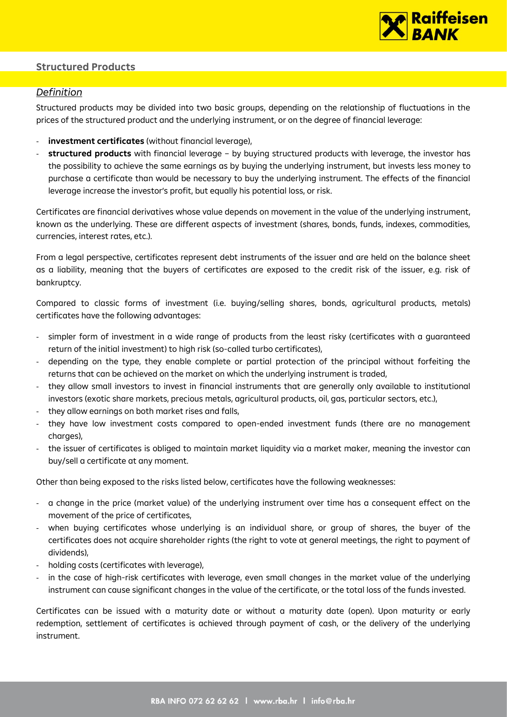

# **Structured Products**

# *Definition*

Structured products may be divided into two basic groups, depending on the relationship of fluctuations in the prices of the structured product and the underlying instrument, or on the degree of financial leverage:

- **investment certificates** (without financial leverage),
- **structured products** with financial leverage by buying structured products with leverage, the investor has the possibility to achieve the same earnings as by buying the underlying instrument, but invests less money to purchase a certificate than would be necessary to buy the underlying instrument. The effects of the financial leverage increase the investor's profit, but equally his potential loss, or risk.

Certificates are financial derivatives whose value depends on movement in the value of the underlying instrument, known as the underlying. These are different aspects of investment (shares, bonds, funds, indexes, commodities, currencies, interest rates, etc.).

From a legal perspective, certificates represent debt instruments of the issuer and are held on the balance sheet as a liability, meaning that the buyers of certificates are exposed to the credit risk of the issuer, e.g. risk of bankruptcy.

Compared to classic forms of investment (i.e. buying/selling shares, bonds, agricultural products, metals) certificates have the following advantages:

- simpler form of investment in a wide range of products from the least risky (certificates with a guaranteed return of the initial investment) to high risk (so-called turbo certificates),
- depending on the type, they enable complete or partial protection of the principal without forfeiting the returns that can be achieved on the market on which the underlying instrument is traded,
- they allow small investors to invest in financial instruments that are generally only available to institutional investors (exotic share markets, precious metals, agricultural products, oil, gas, particular sectors, etc.),
- they allow earnings on both market rises and falls,
- they have low investment costs compared to open-ended investment funds (there are no management charaes),
- the issuer of certificates is obliged to maintain market liquidity via a market maker, meaning the investor can buy/sell a certificate at any moment.

Other than being exposed to the risks listed below, certificates have the following weaknesses:

- a change in the price (market value) of the underlying instrument over time has a consequent effect on the movement of the price of certificates,
- when buying certificates whose underlying is an individual share, or group of shares, the buyer of the certificates does not acquire shareholder rights (the right to vote at general meetings, the right to payment of dividends),
- holding costs (certificates with leverage),
- in the case of high-risk certificates with leverage, even small changes in the market value of the underlying instrument can cause significant changes in the value of the certificate, or the total loss of the funds invested.

Certificates can be issued with a maturity date or without a maturity date (open). Upon maturity or early redemption, settlement of certificates is achieved through payment of cash, or the delivery of the underlying instrument.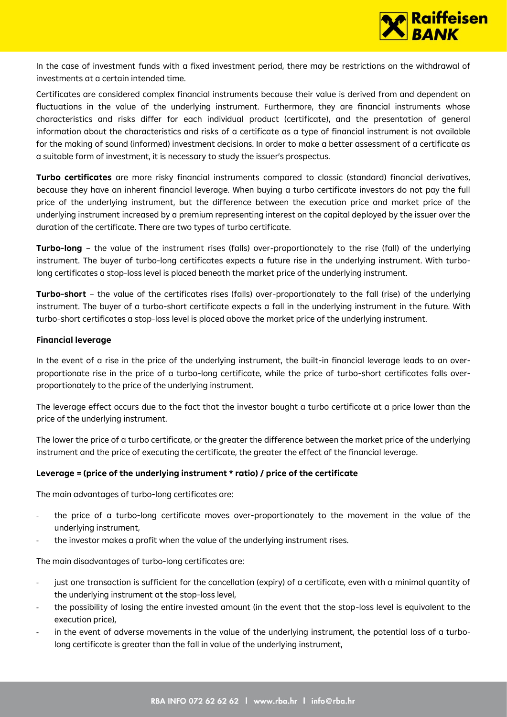

In the case of investment funds with a fixed investment period, there may be restrictions on the withdrawal of investments at a certain intended time.

Certificates are considered complex financial instruments because their value is derived from and dependent on fluctuations in the value of the underlying instrument. Furthermore, they are financial instruments whose characteristics and risks differ for each individual product (certificate), and the presentation of general information about the characteristics and risks of a certificate as a type of financial instrument is not available for the making of sound (informed) investment decisions. In order to make a better assessment of a certificate as a suitable form of investment, it is necessary to study the issuer's prospectus.

**Turbo certificates** are more risky financial instruments compared to classic (standard) financial derivatives, because they have an inherent financial leverage. When buying a turbo certificate investors do not pay the full price of the underlying instrument, but the difference between the execution price and market price of the underlying instrument increased by a premium representing interest on the capital deployed by the issuer over the duration of the certificate. There are two types of turbo certificate.

**Turbo-long** – the value of the instrument rises (falls) over-proportionately to the rise (fall) of the underlying instrument. The buyer of turbo-long certificates expects a future rise in the underlying instrument. With turbolong certificates a stop-loss level is placed beneath the market price of the underlying instrument.

**Turbo-short** – the value of the certificates rises (falls) over-proportionately to the fall (rise) of the underlying instrument. The buyer of a turbo-short certificate expects a fall in the underlying instrument in the future. With turbo-short certificates a stop-loss level is placed above the market price of the underlying instrument.

#### **Financial leverage**

In the event of a rise in the price of the underlying instrument, the built-in financial leverage leads to an overproportionate rise in the price of a turbo-long certificate, while the price of turbo-short certificates falls overproportionately to the price of the underlying instrument.

The leverage effect occurs due to the fact that the investor bought a turbo certificate at a price lower than the price of the underlying instrument.

The lower the price of a turbo certificate, or the greater the difference between the market price of the underlying instrument and the price of executing the certificate, the greater the effect of the financial leverage.

## **Leverage = (price of the underlying instrument \* ratio) / price of the certificate**

The main advantages of turbo-long certificates are:

- the price of a turbo-long certificate moves over-proportionately to the movement in the value of the underlying instrument,
- the investor makes a profit when the value of the underlying instrument rises.

The main disadvantages of turbo-long certificates are:

- just one transaction is sufficient for the cancellation (expiry) of a certificate, even with a minimal quantity of the underlying instrument at the stop-loss level,
- the possibility of losing the entire invested amount (in the event that the stop-loss level is equivalent to the execution price),
- in the event of adverse movements in the value of the underlying instrument, the potential loss of a turbolong certificate is greater than the fall in value of the underlying instrument,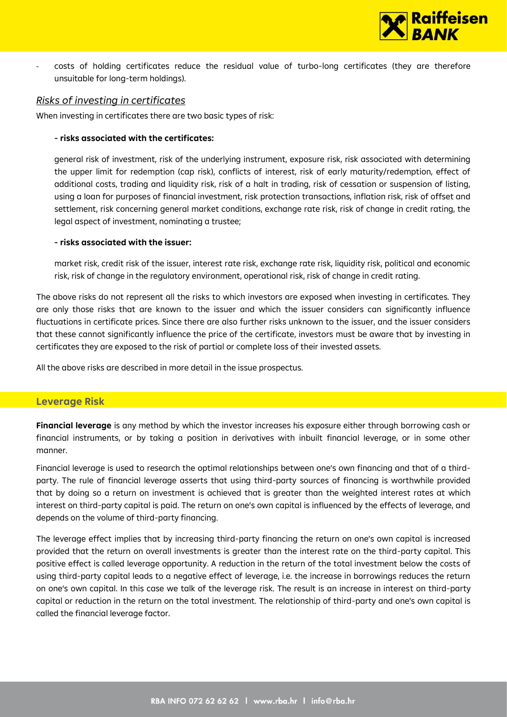

costs of holding certificates reduce the residual value of turbo-long certificates (they are therefore unsuitable for long-term holdings).

## *Risks of investing in certificates*

When investing in certificates there are two basic types of risk:

#### **- risks associated with the certificates:**

general risk of investment, risk of the underlying instrument, exposure risk, risk associated with determining the upper limit for redemption (cap risk), conflicts of interest, risk of early maturity/redemption, effect of additional costs, trading and liquidity risk, risk of a halt in trading, risk of cessation or suspension of listing, using a loan for purposes of financial investment, risk protection transactions, inflation risk, risk of offset and settlement, risk concerning general market conditions, exchange rate risk, risk of change in credit rating, the legal aspect of investment, nominating a trustee;

#### **- risks associated with the issuer:**

market risk, credit risk of the issuer, interest rate risk, exchange rate risk, liquidity risk, political and economic risk, risk of change in the regulatory environment, operational risk, risk of change in credit rating.

The above risks do not represent all the risks to which investors are exposed when investing in certificates. They are only those risks that are known to the issuer and which the issuer considers can significantly influence fluctuations in certificate prices. Since there are also further risks unknown to the issuer, and the issuer considers that these cannot significantly influence the price of the certificate, investors must be aware that by investing in certificates they are exposed to the risk of partial or complete loss of their invested assets.

All the above risks are described in more detail in the issue prospectus.

## **Leverage Risk**

**Financial leverage** is any method by which the investor increases his exposure either through borrowing cash or financial instruments, or by taking a position in derivatives with inbuilt financial leverage, or in some other manner.

Financial leverage is used to research the optimal relationships between one's own financing and that of a thirdparty. The rule of financial leverage asserts that using third-party sources of financing is worthwhile provided that by doing so a return on investment is achieved that is greater than the weighted interest rates at which interest on third-party capital is paid. The return on one's own capital is influenced by the effects of leverage, and depends on the volume of third-party financing.

The leverage effect implies that by increasing third-party financing the return on one's own capital is increased provided that the return on overall investments is greater than the interest rate on the third-party capital. This positive effect is called leverage opportunity. A reduction in the return of the total investment below the costs of using third-party capital leads to a negative effect of leverage, i.e. the increase in borrowings reduces the return on one's own capital. In this case we talk of the leverage risk. The result is an increase in interest on third-party capital or reduction in the return on the total investment. The relationship of third-party and one's own capital is called the financial leverage factor.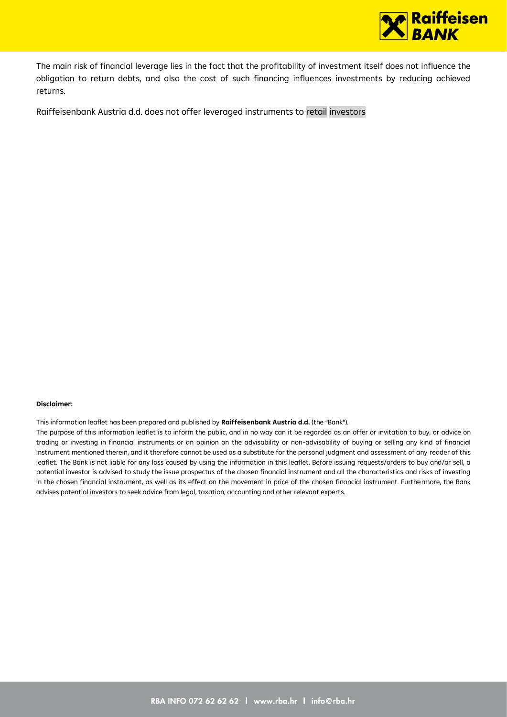

The main risk of financial leverage lies in the fact that the profitability of investment itself does not influence the obligation to return debts, and also the cost of such financing influences investments by reducing achieved returns.

Raiffeisenbank Austria d.d. does not offer leveraged instruments to retail investors

#### **Disclaimer:**

This information leaflet has been prepared and published by **Raiffeisenbank Austria d.d.** (the "Bank").

The purpose of this information leaflet is to inform the public, and in no way can it be regarded as an offer or invitation to buy, or advice on trading or investing in financial instruments or an opinion on the advisability or non-advisability of buying or selling any kind of financial instrument mentioned therein, and it therefore cannot be used as a substitute for the personal judgment and assessment of any reader of this leaflet. The Bank is not liable for any loss caused by using the information in this leaflet. Before issuing requests/orders to buy and/or sell, a potential investor is advised to study the issue prospectus of the chosen financial instrument and all the characteristics and risks of investing in the chosen financial instrument, as well as its effect on the movement in price of the chosen financial instrument. Furthermore, the Bank advises potential investors to seek advice from legal, taxation, accounting and other relevant experts.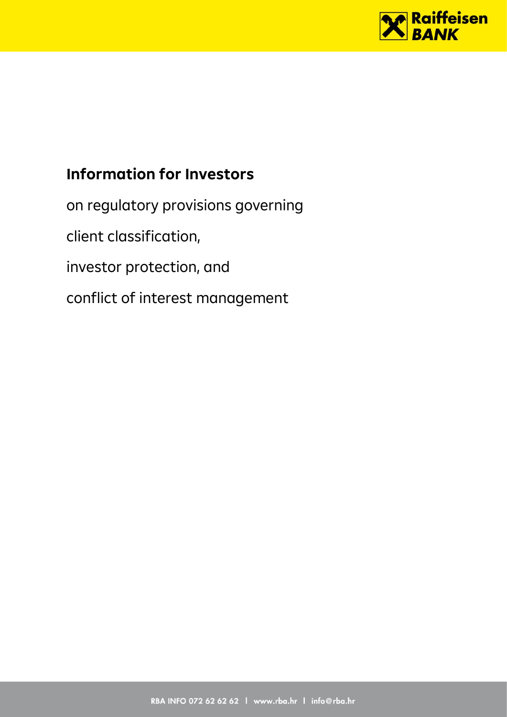

# **Information for Investors**

on regulatory provisions governing client classification, investor protection, and conflict of interest management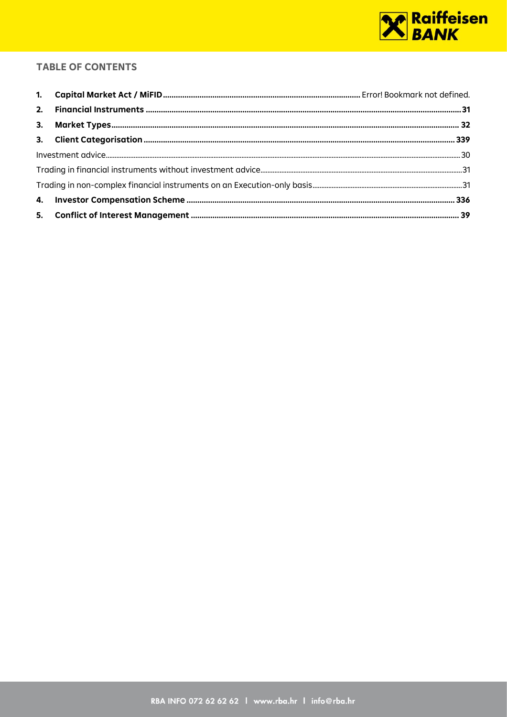

# **TABLE OF CONTENTS**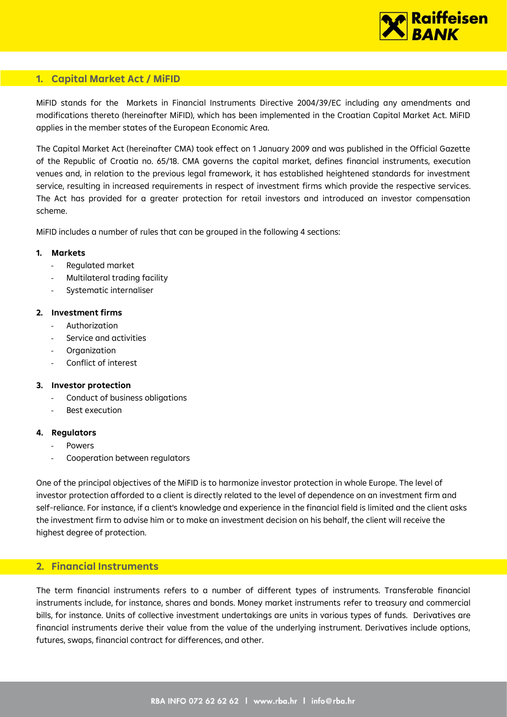

# **1. Capital Market Act / MiFID**

MiFID stands for the Markets in Financial Instruments Directive 2004/39/EC including any amendments and modifications thereto (hereinafter MiFID), which has been implemented in the Croatian Capital Market Act. MiFID applies in the member states of the European Economic Area.

The Capital Market Act (hereinafter CMA) took effect on 1 January 2009 and was published in the Official Gazette of the Republic of Croatia no. 65/18. CMA governs the capital market, defines financial instruments, execution venues and, in relation to the previous legal framework, it has established heightened standards for investment service, resulting in increased requirements in respect of investment firms which provide the respective services. The Act has provided for a greater protection for retail investors and introduced an investor compensation scheme.

MiFID includes a number of rules that can be grouped in the following 4 sections:

#### **1. Markets**

- Regulated market
- Multilateral trading facility
- Systematic internaliser

#### **2. Investment firms**

- **Authorization**
- Service and activities
- **Organization**
- Conflict of interest

#### **3. Investor protection**

- Conduct of business obligations
- Best execution

#### **4. Regulators**

- **Powers**
- Cooperation between regulators

One of the principal objectives of the MiFID is to harmonize investor protection in whole Europe. The level of investor protection afforded to a client is directly related to the level of dependence on an investment firm and self-reliance. For instance, if a client's knowledge and experience in the financial field is limited and the client asks the investment firm to advise him or to make an investment decision on his behalf, the client will receive the highest degree of protection.

# **2. Financial Instruments**

The term financial instruments refers to a number of different types of instruments. Transferable financial instruments include, for instance, shares and bonds. Money market instruments refer to treasury and commercial bills, for instance. Units of collective investment undertakings are units in various types of funds. Derivatives are financial instruments derive their value from the value of the underlying instrument. Derivatives include options, futures, swaps, financial contract for differences, and other.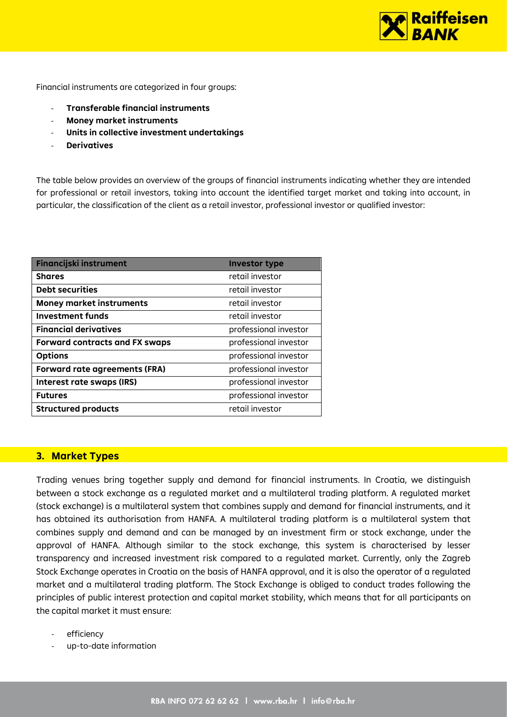

Financial instruments are categorized in four groups:

- **Transferable financial instruments**
- **Money market instruments**
- **Units in collective investment undertakings**
- **Derivatives**

The table below provides an overview of the groups of financial instruments indicating whether they are intended for professional or retail investors, taking into account the identified target market and taking into account, in particular, the classification of the client as a retail investor, professional investor or qualified investor:

| Financijski instrument                | <b>Investor type</b>  |
|---------------------------------------|-----------------------|
| <b>Shares</b>                         | retail investor       |
| <b>Debt securities</b>                | retail investor       |
| <b>Money market instruments</b>       | retail investor       |
| <b>Investment funds</b>               | retail investor       |
| <b>Financial derivatives</b>          | professional investor |
| <b>Forward contracts and FX swaps</b> | professional investor |
| <b>Options</b>                        | professional investor |
| <b>Forward rate agreements (FRA)</b>  | professional investor |
| Interest rate swaps (IRS)             | professional investor |
| <b>Futures</b>                        | professional investor |
| <b>Structured products</b>            | retail investor       |

# **3. Market Types**

Trading venues bring together supply and demand for financial instruments. In Croatia, we distinguish between a stock exchange as a regulated market and a multilateral trading platform. A regulated market (stock exchange) is a multilateral system that combines supply and demand for financial instruments, and it has obtained its authorisation from HANFA. A multilateral trading platform is a multilateral system that combines supply and demand and can be managed by an investment firm or stock exchange, under the approval of HANFA. Although similar to the stock exchange, this system is characterised by lesser transparency and increased investment risk compared to a regulated market. Currently, only the Zagreb Stock Exchange operates in Croatia on the basis of HANFA approval, and it is also the operator of a regulated market and a multilateral trading platform. The Stock Exchange is obliged to conduct trades following the principles of public interest protection and capital market stability, which means that for all participants on the capital market it must ensure:

- efficiency
- up-to-date information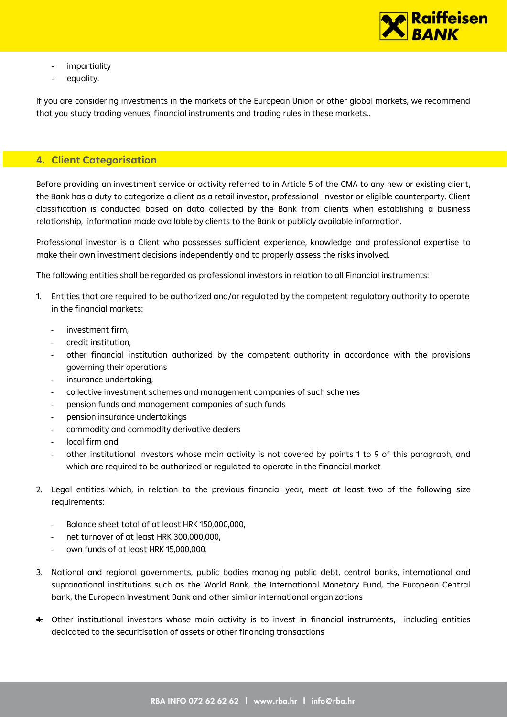

- impartiality
- equality.

If you are considering investments in the markets of the European Union or other global markets, we recommend that you study trading venues, financial instruments and trading rules in these markets..

## **4. Client Categorisation**

Before providing an investment service or activity referred to in Article 5 of the CMA to any new or existing client, the Bank has a duty to categorize a client as a retail investor, professional investor or eligible counterparty. Client classification is conducted based on data collected by the Bank from clients when establishing a business relationship, information made available by clients to the Bank or publicly available information.

Professional investor is a Client who possesses sufficient experience, knowledge and professional expertise to make their own investment decisions independently and to properly assess the risks involved.

The following entities shall be regarded as professional investors in relation to all Financial instruments:

- 1. Entities that are required to be authorized and/or regulated by the competent regulatory authority to operate in the financial markets:
	- investment firm,
	- credit institution.
	- other financial institution authorized by the competent authority in accordance with the provisions governing their operations
	- insurance undertaking,
	- collective investment schemes and management companies of such schemes
	- pension funds and management companies of such funds
	- pension insurance undertakings
	- commodity and commodity derivative dealers
	- local firm and
	- other institutional investors whose main activity is not covered by points 1 to 9 of this paragraph, and which are required to be authorized or regulated to operate in the financial market
- 2. Legal entities which, in relation to the previous financial year, meet at least two of the following size requirements:
	- Balance sheet total of at least HRK 150,000,000,
	- net turnover of at least HRK 300,000,000,
	- own funds of at least HRK 15,000,000.
- 3. National and regional governments, public bodies managing public debt, central banks, international and supranational institutions such as the World Bank, the International Monetary Fund, the European Central bank, the European Investment Bank and other similar international organizations
- 4. Other institutional investors whose main activity is to invest in financial instruments, including entities dedicated to the securitisation of assets or other financing transactions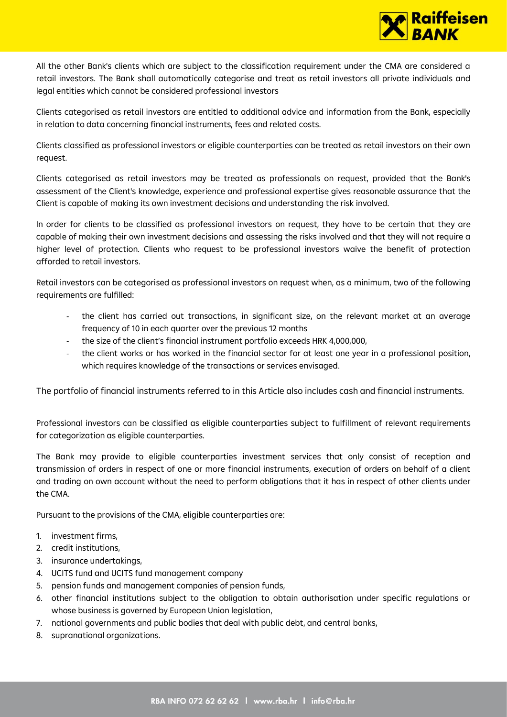

All the other Bank's clients which are subject to the classification requirement under the CMA are considered a retail investors. The Bank shall automatically categorise and treat as retail investors all private individuals and legal entities which cannot be considered professional investors

Clients categorised as retail investors are entitled to additional advice and information from the Bank, especially in relation to data concerning financial instruments, fees and related costs.

Clients classified as professional investors or eligible counterparties can be treated as retail investors on their own request.

Clients categorised as retail investors may be treated as professionals on request, provided that the Bank's assessment of the Client's knowledge, experience and professional expertise gives reasonable assurance that the Client is capable of making its own investment decisions and understanding the risk involved.

In order for clients to be classified as professional investors on request, they have to be certain that they are capable of making their own investment decisions and assessing the risks involved and that they will not require a higher level of protection. Clients who request to be professional investors waive the benefit of protection afforded to retail investors.

Retail investors can be categorised as professional investors on request when, as a minimum, two of the following requirements are fulfilled:

- the client has carried out transactions, in significant size, on the relevant market at an average frequency of 10 in each quarter over the previous 12 months
- the size of the client's financial instrument portfolio exceeds HRK 4,000,000,
- the client works or has worked in the financial sector for at least one year in a professional position, which requires knowledge of the transactions or services envisaged.

The portfolio of financial instruments referred to in this Article also includes cash and financial instruments.

Professional investors can be classified as eligible counterparties subject to fulfillment of relevant requirements for categorization as eligible counterparties.

The Bank may provide to eligible counterparties investment services that only consist of reception and transmission of orders in respect of one or more financial instruments, execution of orders on behalf of a client and trading on own account without the need to perform obligations that it has in respect of other clients under the CMA.

Pursuant to the provisions of the CMA, eligible counterparties are:

- 1. investment firms,
- 2. credit institutions,
- 3. insurance undertakings,
- 4. UCITS fund and UCITS fund management company
- 5. pension funds and management companies of pension funds,
- 6. other financial institutions subject to the obligation to obtain authorisation under specific regulations or whose business is governed by European Union legislation,
- 7. national governments and public bodies that deal with public debt, and central banks,
- 8. supranational organizations.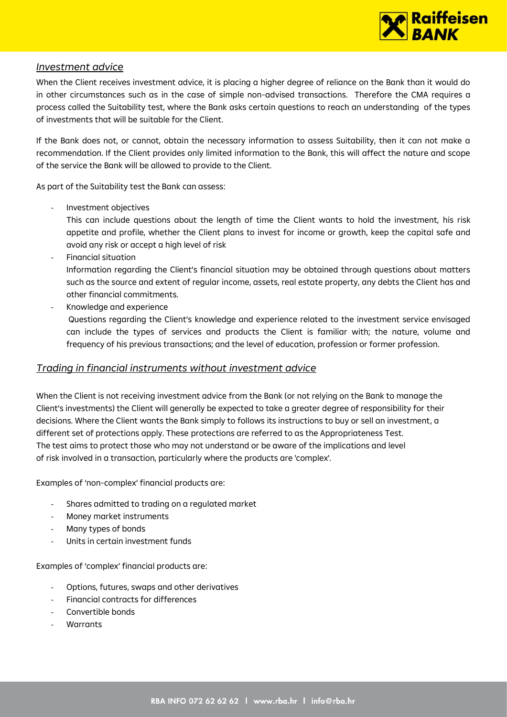

# *Investment advice*

When the Client receives investment advice, it is placing a higher degree of reliance on the Bank than it would do in other circumstances such as in the case of simple non-advised transactions. Therefore the CMA requires a process called the Suitability test, where the Bank asks certain questions to reach an understanding of the types of investments that will be suitable for the Client.

If the Bank does not, or cannot, obtain the necessary information to assess Suitability, then it can not make a recommendation. If the Client provides only limited information to the Bank, this will affect the nature and scope of the service the Bank will be allowed to provide to the Client.

As part of the Suitability test the Bank can assess:

- Investment objectives

This can include questions about the length of time the Client wants to hold the investment, his risk appetite and profile, whether the Client plans to invest for income or growth, keep the capital safe and avoid any risk or accept a high level of risk

- Financial situation

Information regarding the Client's financial situation may be obtained through questions about matters such as the source and extent of regular income, assets, real estate property, any debts the Client has and other financial commitments.

- Knowledge and experience

Questions regarding the Client's knowledge and experience related to the investment service envisaged can include the types of services and products the Client is familiar with; the nature, volume and frequency of his previous transactions; and the level of education, profession or former profession.

# *Trading in financial instruments without investment advice*

When the Client is not receiving investment advice from the Bank (or not relying on the Bank to manage the Client's investments) the Client will generally be expected to take a greater degree of responsibility for their decisions. Where the Client wants the Bank simply to follows its instructions to buy or sell an investment, a different set of protections apply. These protections are referred to as the Appropriateness Test. The test aims to protect those who may not understand or be aware of the implications and level of risk involved in a transaction, particularly where the products are 'complex'.

Examples of 'non-complex' financial products are:

- Shares admitted to trading on a regulated market
- Money market instruments
- Many types of bonds
- Units in certain investment funds

Examples of 'complex' financial products are:

- Options, futures, swaps and other derivatives
- Financial contracts for differences
- Convertible bonds
- **Warrants**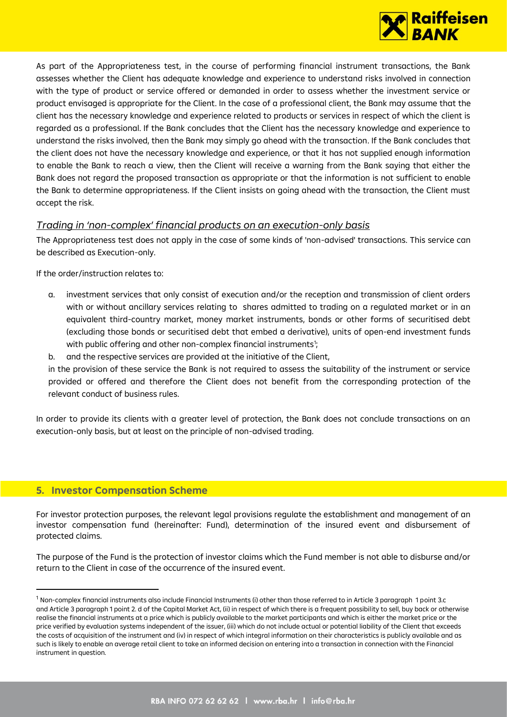

As part of the Appropriateness test, in the course of performing financial instrument transactions, the Bank assesses whether the Client has adequate knowledge and experience to understand risks involved in connection with the type of product or service offered or demanded in order to assess whether the investment service or product envisaged is appropriate for the Client. In the case of a professional client, the Bank may assume that the client has the necessary knowledge and experience related to products or services in respect of which the client is regarded as a professional. If the Bank concludes that the Client has the necessary knowledge and experience to understand the risks involved, then the Bank may simply go ahead with the transaction. If the Bank concludes that the client does not have the necessary knowledge and experience, or that it has not supplied enough information to enable the Bank to reach a view, then the Client will receive a warning from the Bank saying that either the Bank does not regard the proposed transaction as appropriate or that the information is not sufficient to enable the Bank to determine appropriateness. If the Client insists on going ahead with the transaction, the Client must accept the risk.

# *Trading in 'non-complex' financial products on an execution-only basis*

The Appropriateness test does not apply in the case of some kinds of 'non-advised' transactions. This service can be described as Execution-only.

If the order/instruction relates to:

- a. investment services that only consist of execution and/or the reception and transmission of client orders with or without ancillary services relating to shares admitted to trading on a regulated market or in an equivalent third-country market, money market instruments, bonds or other forms of securitised debt (excluding those bonds or securitised debt that embed a derivative), units of open-end investment funds with public offering and other non-complex financial instruments<sup>1</sup>;
- b. and the respective services are provided at the initiative of the Client,

in the provision of these service the Bank is not required to assess the suitability of the instrument or service provided or offered and therefore the Client does not benefit from the corresponding protection of the relevant conduct of business rules.

In order to provide its clients with a greater level of protection, the Bank does not conclude transactions on an execution-only basis, but at least on the principle of non-advised trading.

# **5. Investor Compensation Scheme**

For investor protection purposes, the relevant legal provisions regulate the establishment and management of an investor compensation fund (hereinafter: Fund), determination of the insured event and disbursement of protected claims.

The purpose of the Fund is the protection of investor claims which the Fund member is not able to disburse and/or return to the Client in case of the occurrence of the insured event.

 $1$  Non-complex financial instruments also include Financial Instruments (i) other than those referred to in Article 3 paragraph 1 point 3.c and Article 3 paragraph 1 point 2. d of the Capital Market Act, (ii) in respect of which there is a frequent possibility to sell, buy back or otherwise realise the financial instruments at a price which is publicly available to the market participants and which is either the market price or the price verified by evaluation systems independent of the issuer, (iii) which do not include actual or potential liability of the Client that exceeds the costs of acquisition of the instrument and (iv) in respect of which integral information on their characteristics is publicly available and as such is likely to enable an average retail client to take an informed decision on entering into a transaction in connection with the Financial instrument in question.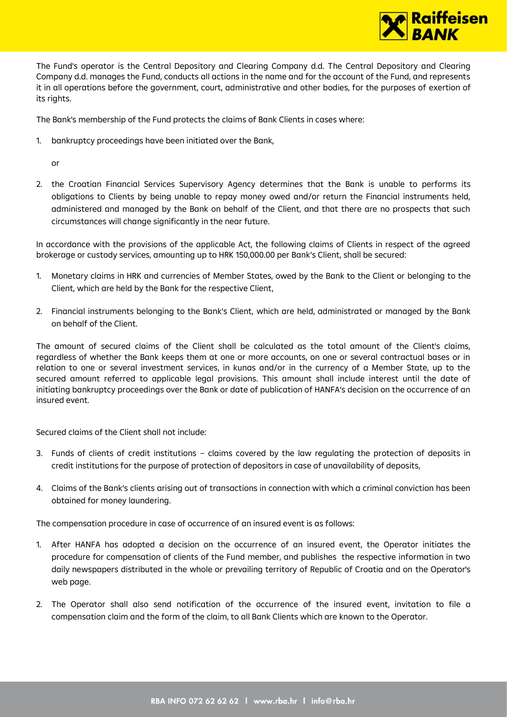

The Fund's operator is the Central Depository and Clearing Company d.d. The Central Depository and Clearing Company d.d. manages the Fund, conducts all actions in the name and for the account of the Fund, and represents it in all operations before the government, court, administrative and other bodies, for the purposes of exertion of its rights.

The Bank's membership of the Fund protects the claims of Bank Clients in cases where:

1. bankruptcy proceedings have been initiated over the Bank,

or

2. the Croatian Financial Services Supervisory Agency determines that the Bank is unable to performs its obligations to Clients by being unable to repay money owed and/or return the Financial instruments held, administered and managed by the Bank on behalf of the Client, and that there are no prospects that such circumstances will change significantly in the near future.

In accordance with the provisions of the applicable Act, the following claims of Clients in respect of the agreed brokerage or custody services, amounting up to HRK 150,000.00 per Bank's Client, shall be secured:

- 1. Monetary claims in HRK and currencies of Member States, owed by the Bank to the Client or belonging to the Client, which are held by the Bank for the respective Client,
- 2. Financial instruments belonging to the Bank's Client, which are held, administrated or managed by the Bank on behalf of the Client.

The amount of secured claims of the Client shall be calculated as the total amount of the Client's claims, regardless of whether the Bank keeps them at one or more accounts, on one or several contractual bases or in relation to one or several investment services, in kunas and/or in the currency of a Member State, up to the secured amount referred to applicable legal provisions. This amount shall include interest until the date of initiating bankruptcy proceedings over the Bank or date of publication of HANFA's decision on the occurrence of an insured event.

Secured claims of the Client shall not include:

- 3. Funds of clients of credit institutions claims covered by the law regulating the protection of deposits in credit institutions for the purpose of protection of depositors in case of unavailability of deposits,
- 4. Claims of the Bank's clients arising out of transactions in connection with which a criminal conviction has been obtained for money laundering.

The compensation procedure in case of occurrence of an insured event is as follows:

- 1. After HANFA has adopted a decision on the occurrence of an insured event, the Operator initiates the procedure for compensation of clients of the Fund member, and publishes the respective information in two daily newspapers distributed in the whole or prevailing territory of Republic of Croatia and on the Operator's web page.
- 2. The Operator shall also send notification of the occurrence of the insured event, invitation to file a compensation claim and the form of the claim, to all Bank Clients which are known to the Operator.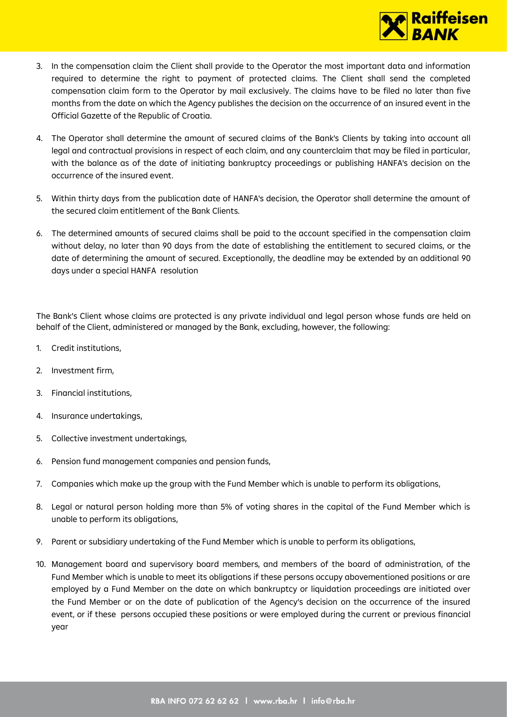

- 3. In the compensation claim the Client shall provide to the Operator the most important data and information required to determine the right to payment of protected claims. The Client shall send the completed compensation claim form to the Operator by mail exclusively. The claims have to be filed no later than five months from the date on which the Agency publishes the decision on the occurrence of an insured event in the Official Gazette of the Republic of Croatia.
- 4. The Operator shall determine the amount of secured claims of the Bank's Clients by taking into account all legal and contractual provisions in respect of each claim, and any counterclaim that may be filed in particular, with the balance as of the date of initiating bankruptcy proceedings or publishing HANFA's decision on the occurrence of the insured event.
- 5. Within thirty days from the publication date of HANFA's decision, the Operator shall determine the amount of the secured claim entitlement of the Bank Clients.
- 6. The determined amounts of secured claims shall be paid to the account specified in the compensation claim without delay, no later than 90 days from the date of establishing the entitlement to secured claims, or the date of determining the amount of secured. Exceptionally, the deadline may be extended by an additional 90 days under a special HANFA resolution

The Bank's Client whose claims are protected is any private individual and legal person whose funds are held on behalf of the Client, administered or managed by the Bank, excluding, however, the following:

- 1. Credit institutions,
- 2. Investment firm,
- 3. Financial institutions,
- 4. Insurance undertakings,
- 5. Collective investment undertakings,
- 6. Pension fund management companies and pension funds,
- 7. Companies which make up the group with the Fund Member which is unable to perform its obligations,
- 8. Legal or natural person holding more than 5% of voting shares in the capital of the Fund Member which is unable to perform its obligations,
- 9. Parent or subsidiary undertaking of the Fund Member which is unable to perform its obligations,
- 10. Management board and supervisory board members, and members of the board of administration, of the Fund Member which is unable to meet its obligations if these persons occupy abovementioned positions or are employed by a Fund Member on the date on which bankruptcy or liquidation proceedings are initiated over the Fund Member or on the date of publication of the Agency's decision on the occurrence of the insured event, or if these persons occupied these positions or were employed during the current or previous financial year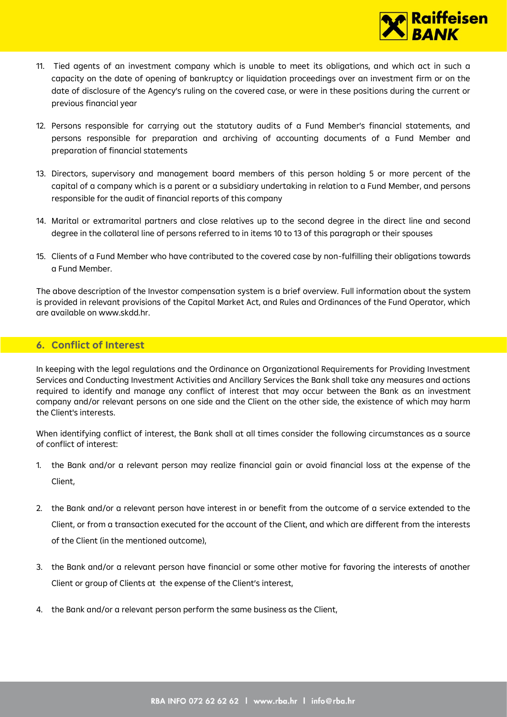

- 11. Tied agents of an investment company which is unable to meet its obligations, and which act in such a capacity on the date of opening of bankruptcy or liquidation proceedings over an investment firm or on the date of disclosure of the Agency's ruling on the covered case, or were in these positions during the current or previous financial year
- 12. Persons responsible for carrying out the statutory audits of a Fund Member's financial statements, and persons responsible for preparation and archiving of accounting documents of a Fund Member and preparation of financial statements
- 13. Directors, supervisory and management board members of this person holding 5 or more percent of the capital of a company which is a parent or a subsidiary undertaking in relation to a Fund Member, and persons responsible for the audit of financial reports of this company
- 14. Marital or extramarital partners and close relatives up to the second degree in the direct line and second degree in the collateral line of persons referred to in items 10 to 13 of this paragraph or their spouses
- 15. Clients of a Fund Member who have contributed to the covered case by non-fulfilling their obligations towards a Fund Member.

The above description of the Investor compensation system is a brief overview. Full information about the system is provided in relevant provisions of the Capital Market Act, and Rules and Ordinances of the Fund Operator, which are available on www.skdd.hr.

# **6. Conflict of Interest**

In keeping with the legal regulations and the Ordinance on Organizational Requirements for Providing Investment Services and Conducting Investment Activities and Ancillary Services the Bank shall take any measures and actions required to identify and manage any conflict of interest that may occur between the Bank as an investment company and/or relevant persons on one side and the Client on the other side, the existence of which may harm the Client's interests.

When identifying conflict of interest, the Bank shall at all times consider the following circumstances as a source of conflict of interest:

- 1. the Bank and/or a relevant person may realize financial gain or avoid financial loss at the expense of the Client,
- 2. the Bank and/or a relevant person have interest in or benefit from the outcome of a service extended to the Client, or from a transaction executed for the account of the Client, and which are different from the interests of the Client (in the mentioned outcome),
- 3. the Bank and/or a relevant person have financial or some other motive for favoring the interests of another Client or group of Clients at the expense of the Client's interest,
- 4. the Bank and/or a relevant person perform the same business as the Client,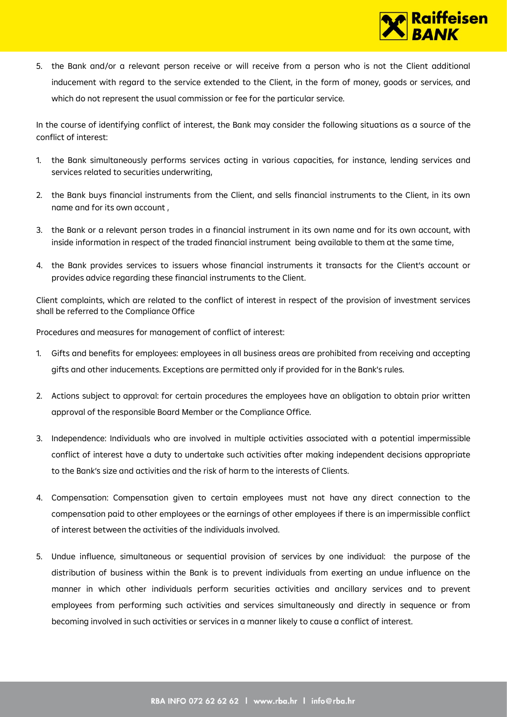

5. the Bank and/or a relevant person receive or will receive from a person who is not the Client additional inducement with regard to the service extended to the Client, in the form of money, goods or services, and which do not represent the usual commission or fee for the particular service.

In the course of identifying conflict of interest, the Bank may consider the following situations as a source of the conflict of interest:

- 1. the Bank simultaneously performs services acting in various capacities, for instance, lending services and services related to securities underwriting,
- 2. the Bank buys financial instruments from the Client, and sells financial instruments to the Client, in its own name and for its own account ,
- 3. the Bank or a relevant person trades in a financial instrument in its own name and for its own account, with inside information in respect of the traded financial instrument being available to them at the same time,
- 4. the Bank provides services to issuers whose financial instruments it transacts for the Client's account or provides advice regarding these financial instruments to the Client.

Client complaints, which are related to the conflict of interest in respect of the provision of investment services shall be referred to the Compliance Office

Procedures and measures for management of conflict of interest:

- 1. Gifts and benefits for employees: employees in all business areas are prohibited from receiving and accepting gifts and other inducements. Exceptions are permitted only if provided for in the Bank's rules.
- 2. Actions subject to approval: for certain procedures the employees have an obligation to obtain prior written approval of the responsible Board Member or the Compliance Office.
- 3. Independence: Individuals who are involved in multiple activities associated with a potential impermissible conflict of interest have a duty to undertake such activities after making independent decisions appropriate to the Bank's size and activities and the risk of harm to the interests of Clients.
- 4. Compensation: Compensation given to certain employees must not have any direct connection to the compensation paid to other employees or the earnings of other employees if there is an impermissible conflict of interest between the activities of the individuals involved.
- 5. Undue influence, simultaneous or sequential provision of services by one individual: the purpose of the distribution of business within the Bank is to prevent individuals from exerting an undue influence on the manner in which other individuals perform securities activities and ancillary services and to prevent employees from performing such activities and services simultaneously and directly in sequence or from becoming involved in such activities or services in a manner likely to cause a conflict of interest.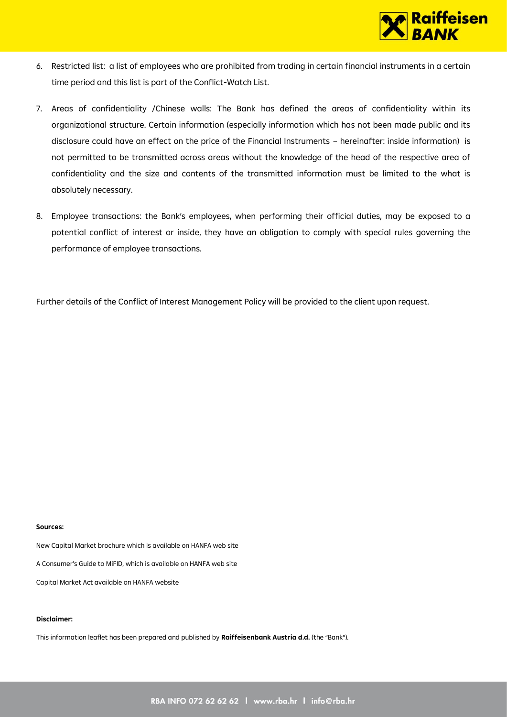

- 6. Restricted list: a list of employees who are prohibited from trading in certain financial instruments in a certain time period and this list is part of the Conflict-Watch List.
- 7. Areas of confidentiality /Chinese walls: The Bank has defined the areas of confidentiality within its organizational structure. Certain information (especially information which has not been made public and its disclosure could have an effect on the price of the Financial Instruments – hereinafter: inside information) is not permitted to be transmitted across areas without the knowledge of the head of the respective area of confidentiality and the size and contents of the transmitted information must be limited to the what is absolutely necessary.
- 8. Employee transactions: the Bank's employees, when performing their official duties, may be exposed to a potential conflict of interest or inside, they have an obligation to comply with special rules governing the performance of employee transactions.

Further details of the Conflict of Interest Management Policy will be provided to the client upon request.

#### **Sources:**

New Capital Market brochure which is available on HANFA web site

A Consumer's Guide to MiFID, which is available on HANFA web site

Capital Market Act available on HANFA website

#### **Disclaimer:**

This information leaflet has been prepared and published by **Raiffeisenbank Austria d.d.** (the "Bank").